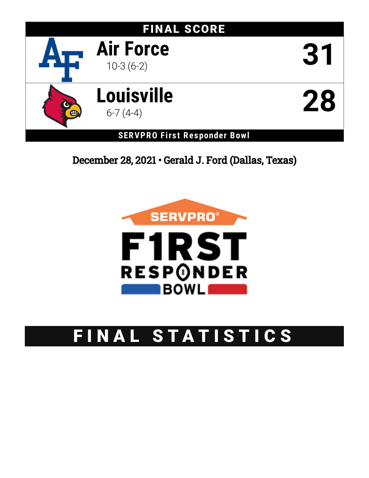

December 28, 2021 • Gerald J. Ford (Dallas, Texas)



# FINAL STATISTICS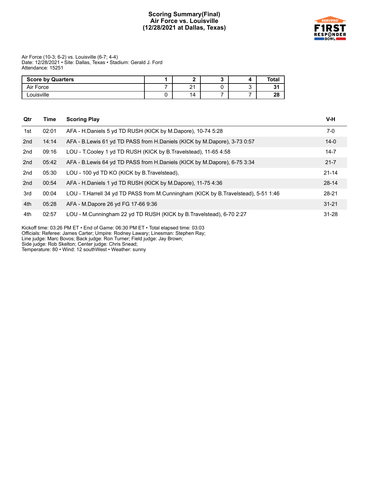#### **Scoring Summary(Final) Air Force vs. Louisville (12/28/2021 at Dallas, Texas)**



Air Force (10-3; 6-2) vs. Louisville (6-7; 4-4) Date: 12/28/2021 • Site: Dallas, Texas • Stadium: Gerald J. Ford Attendance: 15251

| <b>Score by Quarters</b> |                    |  | Total   |
|--------------------------|--------------------|--|---------|
| Air Force                | $\sim$<br><u>.</u> |  | о.<br>. |
| _ouisville               | 14                 |  | 28      |

| Qtr | Time  | <b>Scoring Play</b>                                                                   | V-H       |
|-----|-------|---------------------------------------------------------------------------------------|-----------|
| 1st | 02:01 | AFA - H.Daniels 5 yd TD RUSH (KICK by M.Dapore), 10-74 5:28                           | $7-0$     |
| 2nd | 14:14 | AFA - B. Lewis 61 yd TD PASS from H. Daniels (KICK by M. Dapore), 3-73 0:57           | $14 - 0$  |
| 2nd | 09:16 | LOU - T. Cooley 1 yd TD RUSH (KICK by B. Travelstead), 11-65 4:58                     | $14 - 7$  |
| 2nd | 05:42 | AFA - B. Lewis 64 yd TD PASS from H. Daniels (KICK by M. Dapore), 6-75 3:34           | $21 - 7$  |
| 2nd | 05:30 | LOU - 100 yd TD KO (KICK by B. Travelstead).                                          | $21 - 14$ |
| 2nd | 00:54 | AFA - H.Daniels 1 yd TD RUSH (KICK by M.Dapore), 11-75 4:36                           | $28 - 14$ |
| 3rd | 00:04 | LOU - T. Harrell 34 yd TD PASS from M. Cunningham (KICK by B. Travelstead), 5-51 1:46 | $28 - 21$ |
| 4th | 05:28 | AFA - M.Dapore 26 yd FG 17-66 9:36                                                    | $31 - 21$ |
| 4th | 02:57 | LOU - M.Cunningham 22 yd TD RUSH (KICK by B.Travelstead), 6-70 2:27                   | $31 - 28$ |

Kickoff time: 03:26 PM ET • End of Game: 06:30 PM ET • Total elapsed time: 03:03

Officials: Referee: James Carter; Umpire: Rodney Lawary; Linesman: Stephen Ray;

Line judge: Marc Bovos; Back judge: Ron Turner; Field judge: Jay Brown;

Side judge: Rob Skelton; Center judge: Chris Snead;

Temperature: 80 • Wind: 12 southWest • Weather: sunny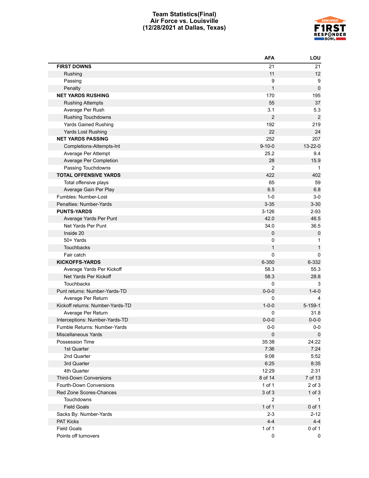#### **Team Statistics(Final) Air Force vs. Louisville (12/28/2021 at Dallas, Texas)**



| <b>FIRST DOWNS</b><br>21<br>21<br>11<br>12<br>Rushing<br>9<br>9<br>Passing<br>$\mathbf{1}$<br>$\mathbf 0$<br>Penalty<br><b>NET YARDS RUSHING</b><br>170<br>195<br>55<br>37<br><b>Rushing Attempts</b><br>3.1<br>5.3<br>Average Per Rush<br>$\overline{2}$<br>$\overline{2}$<br><b>Rushing Touchdowns</b><br>192<br>219<br><b>Yards Gained Rushing</b><br>22<br>24<br>Yards Lost Rushing<br>252<br>207<br><b>NET YARDS PASSING</b><br>$13 - 22 - 0$<br>$9 - 10 - 0$<br>Completions-Attempts-Int<br>25.2<br>9.4<br>Average Per Attempt<br>15.9<br>28<br>Average Per Completion<br>$\overline{2}$<br>Passing Touchdowns<br>1<br>422<br><b>TOTAL OFFENSIVE YARDS</b><br>402<br>65<br>59<br>Total offensive plays<br>6.5<br>6.8<br>Average Gain Per Play<br>$1 - 0$<br>Fumbles: Number-Lost<br>$3-0$<br>Penalties: Number-Yards<br>$3 - 35$<br>$3 - 30$<br><b>PUNTS-YARDS</b><br>$3 - 126$<br>$2 - 93$<br>42.0<br>46.5<br>Average Yards Per Punt<br>Net Yards Per Punt<br>34.0<br>36.5<br>Inside 20<br>0<br>$\mathbf 0$<br>50+ Yards<br>0<br>1<br>$\mathbf{1}$<br><b>Touchbacks</b><br>$\mathbf{1}$<br>Fair catch<br>0<br>$\Omega$<br><b>KICKOFFS-YARDS</b><br>6-332<br>6-350<br>58.3<br>55.3<br>Average Yards Per Kickoff<br>58.3<br>28.8<br>Net Yards Per Kickoff<br><b>Touchbacks</b><br>0<br>3<br>$1 - 4 - 0$<br>Punt returns: Number-Yards-TD<br>$0 - 0 - 0$<br>0<br>Average Per Return<br>4<br>Kickoff returns: Number-Yards-TD<br>$1 - 0 - 0$<br>$5 - 159 - 1$<br>0<br>Average Per Return<br>31.8<br>$0 - 0 - 0$<br>$0 - 0 - 0$<br>Interceptions: Number-Yards-TD<br>$0-0$<br>$0-0$<br>Fumble Returns: Number-Yards<br>0<br>$\mathbf 0$<br>Miscellaneous Yards<br>24:22<br>35:38<br>Possession Time<br>7:36<br>7:24<br>1st Quarter<br>9:08<br>5:52<br>2nd Quarter<br>6:25<br>8:35<br>3rd Quarter<br>12:29<br>2:31<br>4th Quarter<br>7 of 13<br><b>Third-Down Conversions</b><br>8 of 14<br>1 of 1<br>$2$ of $3$<br><b>Fourth-Down Conversions</b><br>3 of 3<br>Red Zone Scores-Chances<br>$1$ of $3$<br>$\overline{2}$<br>Touchdowns<br>$\mathbf 1$<br><b>Field Goals</b><br>1 of 1<br>0 of 1<br>$2 - 3$<br>$2 - 12$<br>Sacks By: Number-Yards<br><b>PAT Kicks</b><br>$4 - 4$<br>$4 - 4$<br>1 of 1<br><b>Field Goals</b><br>0 of 1<br>Points off turnovers<br>0<br>0 | <b>AFA</b> | LOU |
|------------------------------------------------------------------------------------------------------------------------------------------------------------------------------------------------------------------------------------------------------------------------------------------------------------------------------------------------------------------------------------------------------------------------------------------------------------------------------------------------------------------------------------------------------------------------------------------------------------------------------------------------------------------------------------------------------------------------------------------------------------------------------------------------------------------------------------------------------------------------------------------------------------------------------------------------------------------------------------------------------------------------------------------------------------------------------------------------------------------------------------------------------------------------------------------------------------------------------------------------------------------------------------------------------------------------------------------------------------------------------------------------------------------------------------------------------------------------------------------------------------------------------------------------------------------------------------------------------------------------------------------------------------------------------------------------------------------------------------------------------------------------------------------------------------------------------------------------------------------------------------------------------------------------------------------------------------------------------------------------------------------------------------------------------------------------------------------------------------------------------------------------------------------------------------------------------------------------------------------------------------------------|------------|-----|
|                                                                                                                                                                                                                                                                                                                                                                                                                                                                                                                                                                                                                                                                                                                                                                                                                                                                                                                                                                                                                                                                                                                                                                                                                                                                                                                                                                                                                                                                                                                                                                                                                                                                                                                                                                                                                                                                                                                                                                                                                                                                                                                                                                                                                                                                        |            |     |
|                                                                                                                                                                                                                                                                                                                                                                                                                                                                                                                                                                                                                                                                                                                                                                                                                                                                                                                                                                                                                                                                                                                                                                                                                                                                                                                                                                                                                                                                                                                                                                                                                                                                                                                                                                                                                                                                                                                                                                                                                                                                                                                                                                                                                                                                        |            |     |
|                                                                                                                                                                                                                                                                                                                                                                                                                                                                                                                                                                                                                                                                                                                                                                                                                                                                                                                                                                                                                                                                                                                                                                                                                                                                                                                                                                                                                                                                                                                                                                                                                                                                                                                                                                                                                                                                                                                                                                                                                                                                                                                                                                                                                                                                        |            |     |
|                                                                                                                                                                                                                                                                                                                                                                                                                                                                                                                                                                                                                                                                                                                                                                                                                                                                                                                                                                                                                                                                                                                                                                                                                                                                                                                                                                                                                                                                                                                                                                                                                                                                                                                                                                                                                                                                                                                                                                                                                                                                                                                                                                                                                                                                        |            |     |
|                                                                                                                                                                                                                                                                                                                                                                                                                                                                                                                                                                                                                                                                                                                                                                                                                                                                                                                                                                                                                                                                                                                                                                                                                                                                                                                                                                                                                                                                                                                                                                                                                                                                                                                                                                                                                                                                                                                                                                                                                                                                                                                                                                                                                                                                        |            |     |
|                                                                                                                                                                                                                                                                                                                                                                                                                                                                                                                                                                                                                                                                                                                                                                                                                                                                                                                                                                                                                                                                                                                                                                                                                                                                                                                                                                                                                                                                                                                                                                                                                                                                                                                                                                                                                                                                                                                                                                                                                                                                                                                                                                                                                                                                        |            |     |
|                                                                                                                                                                                                                                                                                                                                                                                                                                                                                                                                                                                                                                                                                                                                                                                                                                                                                                                                                                                                                                                                                                                                                                                                                                                                                                                                                                                                                                                                                                                                                                                                                                                                                                                                                                                                                                                                                                                                                                                                                                                                                                                                                                                                                                                                        |            |     |
|                                                                                                                                                                                                                                                                                                                                                                                                                                                                                                                                                                                                                                                                                                                                                                                                                                                                                                                                                                                                                                                                                                                                                                                                                                                                                                                                                                                                                                                                                                                                                                                                                                                                                                                                                                                                                                                                                                                                                                                                                                                                                                                                                                                                                                                                        |            |     |
|                                                                                                                                                                                                                                                                                                                                                                                                                                                                                                                                                                                                                                                                                                                                                                                                                                                                                                                                                                                                                                                                                                                                                                                                                                                                                                                                                                                                                                                                                                                                                                                                                                                                                                                                                                                                                                                                                                                                                                                                                                                                                                                                                                                                                                                                        |            |     |
|                                                                                                                                                                                                                                                                                                                                                                                                                                                                                                                                                                                                                                                                                                                                                                                                                                                                                                                                                                                                                                                                                                                                                                                                                                                                                                                                                                                                                                                                                                                                                                                                                                                                                                                                                                                                                                                                                                                                                                                                                                                                                                                                                                                                                                                                        |            |     |
|                                                                                                                                                                                                                                                                                                                                                                                                                                                                                                                                                                                                                                                                                                                                                                                                                                                                                                                                                                                                                                                                                                                                                                                                                                                                                                                                                                                                                                                                                                                                                                                                                                                                                                                                                                                                                                                                                                                                                                                                                                                                                                                                                                                                                                                                        |            |     |
|                                                                                                                                                                                                                                                                                                                                                                                                                                                                                                                                                                                                                                                                                                                                                                                                                                                                                                                                                                                                                                                                                                                                                                                                                                                                                                                                                                                                                                                                                                                                                                                                                                                                                                                                                                                                                                                                                                                                                                                                                                                                                                                                                                                                                                                                        |            |     |
|                                                                                                                                                                                                                                                                                                                                                                                                                                                                                                                                                                                                                                                                                                                                                                                                                                                                                                                                                                                                                                                                                                                                                                                                                                                                                                                                                                                                                                                                                                                                                                                                                                                                                                                                                                                                                                                                                                                                                                                                                                                                                                                                                                                                                                                                        |            |     |
|                                                                                                                                                                                                                                                                                                                                                                                                                                                                                                                                                                                                                                                                                                                                                                                                                                                                                                                                                                                                                                                                                                                                                                                                                                                                                                                                                                                                                                                                                                                                                                                                                                                                                                                                                                                                                                                                                                                                                                                                                                                                                                                                                                                                                                                                        |            |     |
|                                                                                                                                                                                                                                                                                                                                                                                                                                                                                                                                                                                                                                                                                                                                                                                                                                                                                                                                                                                                                                                                                                                                                                                                                                                                                                                                                                                                                                                                                                                                                                                                                                                                                                                                                                                                                                                                                                                                                                                                                                                                                                                                                                                                                                                                        |            |     |
|                                                                                                                                                                                                                                                                                                                                                                                                                                                                                                                                                                                                                                                                                                                                                                                                                                                                                                                                                                                                                                                                                                                                                                                                                                                                                                                                                                                                                                                                                                                                                                                                                                                                                                                                                                                                                                                                                                                                                                                                                                                                                                                                                                                                                                                                        |            |     |
|                                                                                                                                                                                                                                                                                                                                                                                                                                                                                                                                                                                                                                                                                                                                                                                                                                                                                                                                                                                                                                                                                                                                                                                                                                                                                                                                                                                                                                                                                                                                                                                                                                                                                                                                                                                                                                                                                                                                                                                                                                                                                                                                                                                                                                                                        |            |     |
|                                                                                                                                                                                                                                                                                                                                                                                                                                                                                                                                                                                                                                                                                                                                                                                                                                                                                                                                                                                                                                                                                                                                                                                                                                                                                                                                                                                                                                                                                                                                                                                                                                                                                                                                                                                                                                                                                                                                                                                                                                                                                                                                                                                                                                                                        |            |     |
|                                                                                                                                                                                                                                                                                                                                                                                                                                                                                                                                                                                                                                                                                                                                                                                                                                                                                                                                                                                                                                                                                                                                                                                                                                                                                                                                                                                                                                                                                                                                                                                                                                                                                                                                                                                                                                                                                                                                                                                                                                                                                                                                                                                                                                                                        |            |     |
|                                                                                                                                                                                                                                                                                                                                                                                                                                                                                                                                                                                                                                                                                                                                                                                                                                                                                                                                                                                                                                                                                                                                                                                                                                                                                                                                                                                                                                                                                                                                                                                                                                                                                                                                                                                                                                                                                                                                                                                                                                                                                                                                                                                                                                                                        |            |     |
|                                                                                                                                                                                                                                                                                                                                                                                                                                                                                                                                                                                                                                                                                                                                                                                                                                                                                                                                                                                                                                                                                                                                                                                                                                                                                                                                                                                                                                                                                                                                                                                                                                                                                                                                                                                                                                                                                                                                                                                                                                                                                                                                                                                                                                                                        |            |     |
|                                                                                                                                                                                                                                                                                                                                                                                                                                                                                                                                                                                                                                                                                                                                                                                                                                                                                                                                                                                                                                                                                                                                                                                                                                                                                                                                                                                                                                                                                                                                                                                                                                                                                                                                                                                                                                                                                                                                                                                                                                                                                                                                                                                                                                                                        |            |     |
|                                                                                                                                                                                                                                                                                                                                                                                                                                                                                                                                                                                                                                                                                                                                                                                                                                                                                                                                                                                                                                                                                                                                                                                                                                                                                                                                                                                                                                                                                                                                                                                                                                                                                                                                                                                                                                                                                                                                                                                                                                                                                                                                                                                                                                                                        |            |     |
|                                                                                                                                                                                                                                                                                                                                                                                                                                                                                                                                                                                                                                                                                                                                                                                                                                                                                                                                                                                                                                                                                                                                                                                                                                                                                                                                                                                                                                                                                                                                                                                                                                                                                                                                                                                                                                                                                                                                                                                                                                                                                                                                                                                                                                                                        |            |     |
|                                                                                                                                                                                                                                                                                                                                                                                                                                                                                                                                                                                                                                                                                                                                                                                                                                                                                                                                                                                                                                                                                                                                                                                                                                                                                                                                                                                                                                                                                                                                                                                                                                                                                                                                                                                                                                                                                                                                                                                                                                                                                                                                                                                                                                                                        |            |     |
|                                                                                                                                                                                                                                                                                                                                                                                                                                                                                                                                                                                                                                                                                                                                                                                                                                                                                                                                                                                                                                                                                                                                                                                                                                                                                                                                                                                                                                                                                                                                                                                                                                                                                                                                                                                                                                                                                                                                                                                                                                                                                                                                                                                                                                                                        |            |     |
|                                                                                                                                                                                                                                                                                                                                                                                                                                                                                                                                                                                                                                                                                                                                                                                                                                                                                                                                                                                                                                                                                                                                                                                                                                                                                                                                                                                                                                                                                                                                                                                                                                                                                                                                                                                                                                                                                                                                                                                                                                                                                                                                                                                                                                                                        |            |     |
|                                                                                                                                                                                                                                                                                                                                                                                                                                                                                                                                                                                                                                                                                                                                                                                                                                                                                                                                                                                                                                                                                                                                                                                                                                                                                                                                                                                                                                                                                                                                                                                                                                                                                                                                                                                                                                                                                                                                                                                                                                                                                                                                                                                                                                                                        |            |     |
|                                                                                                                                                                                                                                                                                                                                                                                                                                                                                                                                                                                                                                                                                                                                                                                                                                                                                                                                                                                                                                                                                                                                                                                                                                                                                                                                                                                                                                                                                                                                                                                                                                                                                                                                                                                                                                                                                                                                                                                                                                                                                                                                                                                                                                                                        |            |     |
|                                                                                                                                                                                                                                                                                                                                                                                                                                                                                                                                                                                                                                                                                                                                                                                                                                                                                                                                                                                                                                                                                                                                                                                                                                                                                                                                                                                                                                                                                                                                                                                                                                                                                                                                                                                                                                                                                                                                                                                                                                                                                                                                                                                                                                                                        |            |     |
|                                                                                                                                                                                                                                                                                                                                                                                                                                                                                                                                                                                                                                                                                                                                                                                                                                                                                                                                                                                                                                                                                                                                                                                                                                                                                                                                                                                                                                                                                                                                                                                                                                                                                                                                                                                                                                                                                                                                                                                                                                                                                                                                                                                                                                                                        |            |     |
|                                                                                                                                                                                                                                                                                                                                                                                                                                                                                                                                                                                                                                                                                                                                                                                                                                                                                                                                                                                                                                                                                                                                                                                                                                                                                                                                                                                                                                                                                                                                                                                                                                                                                                                                                                                                                                                                                                                                                                                                                                                                                                                                                                                                                                                                        |            |     |
|                                                                                                                                                                                                                                                                                                                                                                                                                                                                                                                                                                                                                                                                                                                                                                                                                                                                                                                                                                                                                                                                                                                                                                                                                                                                                                                                                                                                                                                                                                                                                                                                                                                                                                                                                                                                                                                                                                                                                                                                                                                                                                                                                                                                                                                                        |            |     |
|                                                                                                                                                                                                                                                                                                                                                                                                                                                                                                                                                                                                                                                                                                                                                                                                                                                                                                                                                                                                                                                                                                                                                                                                                                                                                                                                                                                                                                                                                                                                                                                                                                                                                                                                                                                                                                                                                                                                                                                                                                                                                                                                                                                                                                                                        |            |     |
|                                                                                                                                                                                                                                                                                                                                                                                                                                                                                                                                                                                                                                                                                                                                                                                                                                                                                                                                                                                                                                                                                                                                                                                                                                                                                                                                                                                                                                                                                                                                                                                                                                                                                                                                                                                                                                                                                                                                                                                                                                                                                                                                                                                                                                                                        |            |     |
|                                                                                                                                                                                                                                                                                                                                                                                                                                                                                                                                                                                                                                                                                                                                                                                                                                                                                                                                                                                                                                                                                                                                                                                                                                                                                                                                                                                                                                                                                                                                                                                                                                                                                                                                                                                                                                                                                                                                                                                                                                                                                                                                                                                                                                                                        |            |     |
|                                                                                                                                                                                                                                                                                                                                                                                                                                                                                                                                                                                                                                                                                                                                                                                                                                                                                                                                                                                                                                                                                                                                                                                                                                                                                                                                                                                                                                                                                                                                                                                                                                                                                                                                                                                                                                                                                                                                                                                                                                                                                                                                                                                                                                                                        |            |     |
|                                                                                                                                                                                                                                                                                                                                                                                                                                                                                                                                                                                                                                                                                                                                                                                                                                                                                                                                                                                                                                                                                                                                                                                                                                                                                                                                                                                                                                                                                                                                                                                                                                                                                                                                                                                                                                                                                                                                                                                                                                                                                                                                                                                                                                                                        |            |     |
|                                                                                                                                                                                                                                                                                                                                                                                                                                                                                                                                                                                                                                                                                                                                                                                                                                                                                                                                                                                                                                                                                                                                                                                                                                                                                                                                                                                                                                                                                                                                                                                                                                                                                                                                                                                                                                                                                                                                                                                                                                                                                                                                                                                                                                                                        |            |     |
|                                                                                                                                                                                                                                                                                                                                                                                                                                                                                                                                                                                                                                                                                                                                                                                                                                                                                                                                                                                                                                                                                                                                                                                                                                                                                                                                                                                                                                                                                                                                                                                                                                                                                                                                                                                                                                                                                                                                                                                                                                                                                                                                                                                                                                                                        |            |     |
|                                                                                                                                                                                                                                                                                                                                                                                                                                                                                                                                                                                                                                                                                                                                                                                                                                                                                                                                                                                                                                                                                                                                                                                                                                                                                                                                                                                                                                                                                                                                                                                                                                                                                                                                                                                                                                                                                                                                                                                                                                                                                                                                                                                                                                                                        |            |     |
|                                                                                                                                                                                                                                                                                                                                                                                                                                                                                                                                                                                                                                                                                                                                                                                                                                                                                                                                                                                                                                                                                                                                                                                                                                                                                                                                                                                                                                                                                                                                                                                                                                                                                                                                                                                                                                                                                                                                                                                                                                                                                                                                                                                                                                                                        |            |     |
|                                                                                                                                                                                                                                                                                                                                                                                                                                                                                                                                                                                                                                                                                                                                                                                                                                                                                                                                                                                                                                                                                                                                                                                                                                                                                                                                                                                                                                                                                                                                                                                                                                                                                                                                                                                                                                                                                                                                                                                                                                                                                                                                                                                                                                                                        |            |     |
|                                                                                                                                                                                                                                                                                                                                                                                                                                                                                                                                                                                                                                                                                                                                                                                                                                                                                                                                                                                                                                                                                                                                                                                                                                                                                                                                                                                                                                                                                                                                                                                                                                                                                                                                                                                                                                                                                                                                                                                                                                                                                                                                                                                                                                                                        |            |     |
|                                                                                                                                                                                                                                                                                                                                                                                                                                                                                                                                                                                                                                                                                                                                                                                                                                                                                                                                                                                                                                                                                                                                                                                                                                                                                                                                                                                                                                                                                                                                                                                                                                                                                                                                                                                                                                                                                                                                                                                                                                                                                                                                                                                                                                                                        |            |     |
|                                                                                                                                                                                                                                                                                                                                                                                                                                                                                                                                                                                                                                                                                                                                                                                                                                                                                                                                                                                                                                                                                                                                                                                                                                                                                                                                                                                                                                                                                                                                                                                                                                                                                                                                                                                                                                                                                                                                                                                                                                                                                                                                                                                                                                                                        |            |     |
|                                                                                                                                                                                                                                                                                                                                                                                                                                                                                                                                                                                                                                                                                                                                                                                                                                                                                                                                                                                                                                                                                                                                                                                                                                                                                                                                                                                                                                                                                                                                                                                                                                                                                                                                                                                                                                                                                                                                                                                                                                                                                                                                                                                                                                                                        |            |     |
|                                                                                                                                                                                                                                                                                                                                                                                                                                                                                                                                                                                                                                                                                                                                                                                                                                                                                                                                                                                                                                                                                                                                                                                                                                                                                                                                                                                                                                                                                                                                                                                                                                                                                                                                                                                                                                                                                                                                                                                                                                                                                                                                                                                                                                                                        |            |     |
|                                                                                                                                                                                                                                                                                                                                                                                                                                                                                                                                                                                                                                                                                                                                                                                                                                                                                                                                                                                                                                                                                                                                                                                                                                                                                                                                                                                                                                                                                                                                                                                                                                                                                                                                                                                                                                                                                                                                                                                                                                                                                                                                                                                                                                                                        |            |     |
|                                                                                                                                                                                                                                                                                                                                                                                                                                                                                                                                                                                                                                                                                                                                                                                                                                                                                                                                                                                                                                                                                                                                                                                                                                                                                                                                                                                                                                                                                                                                                                                                                                                                                                                                                                                                                                                                                                                                                                                                                                                                                                                                                                                                                                                                        |            |     |
|                                                                                                                                                                                                                                                                                                                                                                                                                                                                                                                                                                                                                                                                                                                                                                                                                                                                                                                                                                                                                                                                                                                                                                                                                                                                                                                                                                                                                                                                                                                                                                                                                                                                                                                                                                                                                                                                                                                                                                                                                                                                                                                                                                                                                                                                        |            |     |
|                                                                                                                                                                                                                                                                                                                                                                                                                                                                                                                                                                                                                                                                                                                                                                                                                                                                                                                                                                                                                                                                                                                                                                                                                                                                                                                                                                                                                                                                                                                                                                                                                                                                                                                                                                                                                                                                                                                                                                                                                                                                                                                                                                                                                                                                        |            |     |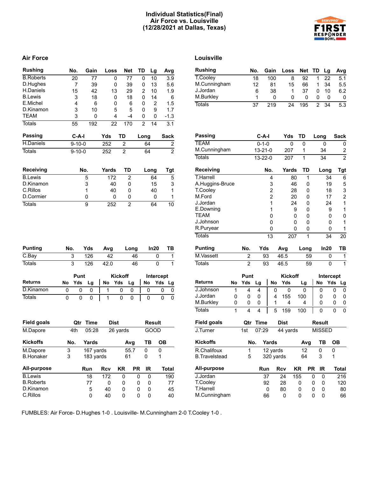### **Individual Statistics(Final) Air Force vs. Louisville (12/28/2021 at Dallas, Texas)**

# **PONDER** RE! **BOWL**

# **Air Force Louisville**

| <b>Rushing</b>       |     | No.            | Gain        | Loss        |                | <b>Net</b>     | TD             | Lg            |     | Avg            |
|----------------------|-----|----------------|-------------|-------------|----------------|----------------|----------------|---------------|-----|----------------|
| <b>B.Roberts</b>     |     | 20             | 77          | 0           |                | 77             | 0              | 10            |     | 3.9            |
| D.Hughes             |     | $\overline{7}$ | 39          | 0           |                | 39             | 0              | 13            |     | 5.6            |
| H.Daniels            |     | 15             | 42          | 13          |                | 29             | $\overline{2}$ | 10            |     | 1.9            |
| <b>B.Lewis</b>       |     | 3              | 18          | 0           |                | 18             | 0              | 14            |     | 6              |
| E.Michel             |     | 4              | 6           | 0           |                | 6              | 0              | 2             |     | 1.5            |
| D.Kinamon            |     | 3              | 10          | 5           |                | 5              | 0              | 9             |     | 1.7            |
| TEAM                 |     | 3              | 0           | 4           |                | $-4$           | 0              | 0             |     | $-1.3$         |
| <b>Totals</b>        |     | 55             | 192         | 22          |                | 170            | 2              | 14            |     | 3.1            |
| <b>Passing</b>       |     | $C-A-I$        |             | Yds         | TD             |                | Long           |               |     | Sack           |
| H.Daniels            |     | $9 - 10 - 0$   |             | 252         | 2              |                | 64             |               |     | 2              |
| <b>Totals</b>        |     | $9 - 10 - 0$   |             | 252         | $\overline{2}$ |                | 64             |               |     | $\overline{2}$ |
| Receiving            |     |                | No.         | Yards       |                | TD             |                | Long          |     | <b>Tgt</b>     |
| <b>B.Lewis</b>       |     |                | 5           | 172         |                | 2              |                | 64            |     | 5              |
| D.Kinamon            |     |                | 3           | 40          |                | 0              |                | 15            |     | 3              |
| C.Rillos             |     |                | 1           | 40          |                | 0              |                | 40            |     | 1              |
| D.Cormier            |     |                | 0           | 0           |                | 0              |                | 0             |     | 1              |
| <b>Totals</b>        |     |                | 9           | 252         |                | $\overline{2}$ |                | 64            |     | 10             |
| <b>Punting</b>       | No. |                | Yds         | Avg         |                | Long           |                | In20          |     | ΤВ             |
| $\overline{C}$ . Bay | 3   |                | 126         | 42          |                | 46             |                | 0             |     | 1              |
| <b>Totals</b>        | 3   |                | 126         | 42.0        |                | 46             |                | 0             |     | $\mathbf{1}$   |
|                      |     | Punt           |             |             | <b>Kickoff</b> |                |                | Intercept     |     |                |
| <b>Returns</b>       | No  | Yds            | Lg          | No          | Yds            | Lg             | No             |               | Yds | Lg             |
| D.Kinamon            | 0   | 0              | 0           | 1           | 0              | 0              |                | 0             | 0   | 0              |
| <b>Totals</b>        | 0   | 0              | 0           | 1           | 0              | 0              |                | 0             | 0   | 0              |
|                      |     |                |             |             |                |                |                |               |     |                |
| <b>Field goals</b>   |     | Qtr            | <b>Time</b> | <b>Dist</b> |                |                |                | <b>Result</b> |     |                |
| M.Dapore             |     | 4th            | 05:28       |             | 26 yards       |                |                | GOOD          |     |                |
| <b>Kickoffs</b>      | No. |                | Yards       |             |                | Avg            | TВ             |               | OВ  |                |
| M.Dapore             | 3   |                | 167 yards   |             |                | 55.7           | 0              |               | 0   |                |
| <b>B.Honaker</b>     | 3   |                | 183 yards   |             |                | 61             | 0              |               | 1   |                |
| All-purpose          |     |                | Run         | Rcv         | KR             | <b>PR</b>      |                | IR            |     | <b>Total</b>   |
| <b>B.Lewis</b>       |     |                | 18          | 172         | 0              | 0              |                | 0             |     | 190            |
| <b>B.Roberts</b>     |     |                | 77          | 0           | 0              | 0              |                | 0             |     | 77             |
| D.Kinamon            |     |                |             |             |                |                |                |               |     |                |
| C.Rillos             |     |                | 5<br>0      | 40<br>40    | 0<br>0         | 0<br>0         |                | 0<br>0        |     | 45<br>40       |

| <b>Rushing</b>       |    |                | No.           | Gain           | Loss         |     | Net       | TD             | Lg            | Avg              |
|----------------------|----|----------------|---------------|----------------|--------------|-----|-----------|----------------|---------------|------------------|
| T.Cooley             |    |                | 18            | 100            |              | 8   | 92        | 1              | 22            | 5.1              |
| M.Cunningham         |    |                | 12            | 81             |              | 15  | 66        | 1              | 34            | 5.5              |
| J.Jordan             |    |                | 6             | 38             |              | 1   | 37        | 0              | 10            | 6.2              |
| M.Burkley            |    |                | 1             | 0              |              | 0   | 0         | 0              | 0             | 0                |
| <b>Totals</b>        |    |                | 37            | 219            | 24           |     | 195       | $\overline{2}$ | 34            | $\overline{5.3}$ |
|                      |    |                |               |                |              |     |           |                |               |                  |
|                      |    |                |               |                |              |     |           |                |               |                  |
| <b>Passing</b>       |    |                | $C-A-I$       |                | Yds          |     | TD        | Long           |               | <b>Sack</b>      |
| <b>TEAM</b>          |    |                | $0 - 1 - 0$   |                |              | 0   | 0         |                | 0             | 0                |
| M.Cunningham         |    |                | $13 - 21 - 0$ |                | 207          |     | 1         |                | 34            | $\boldsymbol{2}$ |
| <b>Totals</b>        |    |                | 13-22-0       |                | 207          |     | 1         |                | 34            | $\overline{2}$   |
| Receiving            |    |                |               | No.            | <b>Yards</b> |     | <b>TD</b> |                | Long          | <b>Tgt</b>       |
| <b>T.Harrell</b>     |    |                |               | 4              |              | 80  | 1         |                | 34            | 6                |
| A.Huggins-Bruce      |    |                |               | 3              |              | 46  | 0         |                | 19            | 5                |
| T.Cooley             |    |                |               | $\overline{c}$ |              | 28  | 0         |                | 18            | 3                |
| M.Ford               |    |                |               | $\overline{2}$ |              | 20  | 0         |                | 17            | $\overline{c}$   |
| J.Jordan             |    |                |               | 1              |              | 24  | 0         |                | 24            | 1                |
| E.Downing            |    |                |               | 1              |              | 9   | 0         |                | 9             | 1                |
| <b>TEAM</b>          |    |                |               | 0              |              | 0   | 0         |                | 0             | 0                |
| J.Johnson            |    |                |               | 0              |              | 0   | 0         |                | 0             | 1                |
| R.Puryear            |    |                |               | 0              |              | 0   | 0         |                | 0             | 1                |
| <b>Totals</b>        |    |                |               | 13             |              | 207 | 1         |                | 34            | 20               |
|                      |    |                |               |                |              |     |           |                |               |                  |
| <b>Punting</b>       |    | No.            | Yds           |                | Avg          |     | Long      |                | In20          | ΤВ               |
| M.Vassett            |    | 2              | 93            |                | 46.5         |     | 59        |                | 0             | $\mathbf 1$      |
| <b>Totals</b>        |    | $\overline{2}$ | 93            |                | 46.5         |     | 59        |                | 0             | $\overline{1}$   |
|                      |    | Punt           |               |                | Kickoff      |     |           |                | Intercept     |                  |
| <b>Returns</b>       | No | Yds            | Lg            | No             | Yds          |     | Lg        | No             |               | Yds<br>Lg        |
| J.Johnson            | 1  | 4              | 4             | 0              | 0            |     | 0         |                | 0             | 0<br>0           |
| J.Jordan             | 0  | 0              | 0             | 4              | 155          |     | 100       |                | 0             | 0<br>0           |
| M.Burkley            | 0  | 0              | 0             | 1              | 4            |     | 4         |                | 0             | 0<br>0           |
| <b>Totals</b>        | 1  | 4              | 4             | 5              | 159          |     | 100       |                | 0             | 0<br>0           |
| <b>Field goals</b>   |    | Qtr            | <b>Time</b>   |                | <b>Dist</b>  |     |           |                | Result        |                  |
| J.Turner             |    | 1st            | 07:29         |                | 44 yards     |     |           |                | <b>MISSED</b> |                  |
| <b>Kickoffs</b>      |    | No.            |               | Yards          |              |     | Avg       |                | TВ            | ОB               |
| R.Chalifoux          |    | 1              |               | 12 yards       |              |     | 12        |                | 0             | 0                |
| <b>B.Travelstead</b> |    | 5              |               | 320 yards      |              |     | 64        |                | 3             | 1                |
| <b>All-purpose</b>   |    |                | Run           |                | Rcv          | KR  | <b>PR</b> |                | IR            | <b>Total</b>     |
| J.Jordan             |    |                | 37            |                | 24           | 155 |           | 0              | 0             | 216              |
| T.Cooley             |    |                | 92            |                | 28           | 0   |           | 0              | 0             | 120              |
| T.Harrell            |    |                |               | 0              | 80           | 0   |           | 0              | 0             | 80               |
| M.Cunningham         |    |                | 66            |                | 0            | 0   |           | 0              | 0             | 66               |

FUMBLES: Air Force- D.Hughes 1-0 . Louisville- M.Cunningham 2-0 T.Cooley 1-0 .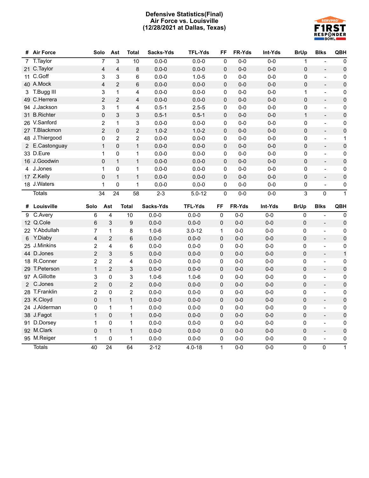## **Defensive Statistics(Final) Air Force vs. Louisville (12/28/2021 at Dallas, Texas)**



| #              | <b>Air Force</b> | Solo           | Ast                                       | <b>Total</b>   | Sacks-Yds | <b>TFL-Yds</b> | FF           | FR-Yds  | Int-Yds | <b>BrUp</b>  | <b>Blks</b>              | QBH                 |
|----------------|------------------|----------------|-------------------------------------------|----------------|-----------|----------------|--------------|---------|---------|--------------|--------------------------|---------------------|
| $\overline{7}$ | T. Taylor        |                | $\overline{7}$<br>3                       | 10             | $0.0 - 0$ | $0.0 - 0$      | 0            | $0 - 0$ | $0 - 0$ | 1            |                          | 0                   |
| 21             | C.Taylor         |                | $\overline{\mathbf{4}}$<br>$\overline{4}$ | 8              | $0.0 - 0$ | $0.0 - 0$      | $\mathbf 0$  | $0-0$   | $0-0$   | $\mathbf 0$  | $\overline{\phantom{m}}$ | $\pmb{0}$           |
| 11             | C.Goff           |                | 3<br>3                                    | 6              | $0.0 - 0$ | $1.0 - 5$      | 0            | $0-0$   | $0-0$   | $\mathbf 0$  | $\overline{a}$           | $\pmb{0}$           |
|                | 40 A.Mock        |                | $\overline{2}$<br>4                       | 6              | $0.0 - 0$ | $0.0 - 0$      | 0            | $0-0$   | $0-0$   | $\mathbf 0$  | $\blacksquare$           | $\pmb{0}$           |
|                | 3 T.Bugg III     |                | 3<br>$\mathbf{1}$                         | 4              | $0.0 - 0$ | $0.0 - 0$      | 0            | $0-0$   | $0-0$   | 1            | $\blacksquare$           | 0                   |
|                | 49 C.Herrera     |                | $\overline{2}$<br>$\overline{c}$          | 4              | $0.0 - 0$ | $0.0 - 0$      | 0            | $0-0$   | $0-0$   | $\Omega$     | $\qquad \qquad -$        | $\pmb{0}$           |
|                | 94 J.Jackson     |                | 3<br>1                                    | 4              | $0.5 - 1$ | $2.5 - 5$      | 0            | $0-0$   | $0-0$   | 0            | $\blacksquare$           | 0                   |
|                | 31 B.Richter     |                | $\mathbf 0$<br>3                          | 3              | $0.5 - 1$ | $0.5 - 1$      | $\mathbf 0$  | $0-0$   | $0-0$   | $\mathbf{1}$ | $\overline{a}$           | $\pmb{0}$           |
|                | 26 V.Sanford     |                | $\overline{2}$<br>$\mathbf{1}$            | 3              | $0.0 - 0$ | $0.0 - 0$      | 0            | $0-0$   | $0-0$   | 0            | $\blacksquare$           | 0                   |
|                | 27 T.Blackmon    |                | $\overline{2}$<br>0                       | $\overline{2}$ | $1.0 - 2$ | $1.0 - 2$      | $\pmb{0}$    | $0-0$   | $0-0$   | 0            | $\overline{a}$           | $\pmb{0}$           |
|                | 48 J.Thiergood   |                | $\overline{c}$<br>0                       | 2              | $0.0 - 0$ | $0.0 - 0$      | 0            | $0-0$   | $0-0$   | $\Omega$     | $\frac{1}{2}$            | 1                   |
| $\mathbf{2}$   | E.Castonguay     |                | $\mathbf{1}$<br>$\mathbf 0$               | $\mathbf{1}$   | $0.0 - 0$ | $0.0 - 0$      | 0            | $0-0$   | $0-0$   | 0            | $\overline{\phantom{a}}$ | $\pmb{0}$           |
|                | 33 D.Eure        |                | $\mathbf 1$<br>0                          | 1              | $0.0 - 0$ | $0.0 - 0$      | 0            | $0-0$   | $0-0$   | 0            | $\overline{a}$           | 0                   |
|                | 16 J.Goodwin     |                | 0<br>$\mathbf{1}$                         | $\mathbf{1}$   | $0.0 - 0$ | $0.0 - 0$      | 0            | $0-0$   | $0-0$   | $\mathbf 0$  | $\overline{\phantom{m}}$ | $\pmb{0}$           |
|                | 4 J.Jones        |                | $\mathbf{1}$<br>0                         | 1              | $0.0 - 0$ | $0.0 - 0$      | 0            | $0-0$   | $0-0$   | $\Omega$     | $\overline{a}$           | 0                   |
|                | 17 Z.Kelly       |                | $\mathbf 0$<br>$\mathbf{1}$               | $\mathbf{1}$   | $0.0 - 0$ | $0.0 - 0$      | 0            | $0 - 0$ | $0-0$   | $\Omega$     | $\overline{\phantom{m}}$ | $\pmb{0}$           |
|                | 18 J.Waters      |                | $\mathbf{1}$<br>0                         | 1              | $0.0 - 0$ | $0.0 - 0$      | 0            | $0-0$   | $0-0$   | 0            | $\blacksquare$           | 0                   |
|                | <b>Totals</b>    | 34             | 24                                        | 58             | $2 - 3$   | $5.0 - 12$     | 0            | $0-0$   | $0-0$   | 3            | 0                        | 1                   |
|                |                  |                |                                           |                |           |                |              |         |         |              |                          |                     |
|                | # Louisville     | Solo           | Ast                                       | <b>Total</b>   | Sacks-Yds | <b>TFL-Yds</b> | FF           | FR-Yds  | Int-Yds | <b>BrUp</b>  | <b>Blks</b>              | QBH                 |
| 9              | C.Avery          | 6              | 4                                         | 10             | $0.0 - 0$ | $0.0 - 0$      | $\Omega$     | $0 - 0$ | $0-0$   | $\mathbf{0}$ | $\blacksquare$           | $\mathbf 0$         |
|                | 12 Q.Cole        | 6              | 3                                         | 9              | $0.0 - 0$ | $0.0 - 0$      | $\mathbf{0}$ | $0-0$   | $0-0$   | 0            | $\overline{\phantom{a}}$ | $\pmb{0}$           |
|                | 22 Y.Abdullah    | 7              | $\mathbf{1}$                              | 8              | $1.0 - 6$ | $3.0 - 12$     | $\mathbf{1}$ | $0-0$   | $0-0$   | 0            | $\overline{\phantom{a}}$ | $\pmb{0}$           |
| 6              | Y.Diaby          | 4              | $\overline{2}$                            | 6              | $0.0 - 0$ | $0.0 - 0$      | $\mathbf 0$  | $0-0$   | $0-0$   | 0            | $\overline{\phantom{a}}$ | $\pmb{0}$           |
| 25             | J.Minkins        | $\overline{c}$ | 4                                         | 6              | $0.0 - 0$ | $0.0 - 0$      | 0            | $0-0$   | $0-0$   | 0            | $\overline{\phantom{a}}$ | $\pmb{0}$           |
|                | 44 D.Jones       | $\overline{2}$ | 3                                         | 5              | $0.0 - 0$ | $0.0 - 0$      | $\pmb{0}$    | $0-0$   | $0 - 0$ | 0            | $\Box$                   | $\mathbf{1}$        |
|                | 18 R.Conner      | $\overline{2}$ | $\overline{2}$                            | 4              | $0.0 - 0$ | $0.0 - 0$      | 0            | $0-0$   | $0-0$   | 0            | $\blacksquare$           | $\pmb{0}$           |
|                | 29 T.Peterson    | $\mathbf{1}$   | $\overline{2}$                            | 3              | $0.0 - 0$ | $0.0 - 0$      | 0            | $0 - 0$ | $0-0$   | 0            | $\blacksquare$           | $\mathbf 0$         |
|                | 97 A.Gillotte    | 3              | 0                                         | 3              | $1.0 - 6$ | $1.0 - 6$      | 0            | $0-0$   | $0-0$   | 0            | $\overline{\phantom{a}}$ | $\pmb{0}$           |
| $\mathbf{2}$   | C.Jones          | $\overline{c}$ | 0                                         | $\overline{2}$ | $0.0 - 0$ | $0.0 - 0$      | $\mathbf 0$  | $0 - 0$ | $0-0$   | $\mathbf 0$  | $\overline{\phantom{a}}$ | $\pmb{0}$           |
| 28             | T.Franklin       | $\overline{c}$ | 0                                         | $\overline{2}$ | $0.0 - 0$ | $0.0 - 0$      | 0            | $0-0$   | $0-0$   | 0            | $\overline{\phantom{a}}$ | 0                   |
|                | 23 K.Cloyd       | 0              | $\mathbf{1}$                              | $\mathbf{1}$   | $0.0 - 0$ | $0.0 - 0$      | $\pmb{0}$    | $0-0$   | $0-0$   | 0            | $\blacksquare$           | $\mathsf{O}\xspace$ |
|                | 24 J.Alderman    | 0              | $\mathbf{1}$                              | $\mathbf{1}$   | $0.0 - 0$ | $0.0 - 0$      | 0            | $0-0$   | $0-0$   | 0            | $\overline{\phantom{a}}$ | 0                   |
|                | 38 J.Fagot       | $\mathbf{1}$   | $\mathsf 0$                               | $\mathbf{1}$   | $0.0 - 0$ | $0.0 - 0$      | 0            | $0-0$   | $0-0$   | 0            | $\overline{a}$           | $\mathsf 0$         |
| 91             | D.Dorsey         | 1              | 0                                         | $\mathbf{1}$   | $0.0 - 0$ | $0.0 - 0$      | 0            | $0-0$   | $0-0$   | 0            | $\qquad \qquad -$        | 0                   |
|                | 92 M.Clark       | 0              | $\mathbf{1}$                              | $\mathbf{1}$   | $0.0 - 0$ | $0.0 - 0$      | $\mathbf 0$  | $0-0$   | $0 - 0$ | 0            | $\overline{\phantom{a}}$ | $\pmb{0}$           |
|                | 95 M.Reiger      | 1              | 0                                         | 1              | $0.0 - 0$ | $0.0 - 0$      | 0            | $0-0$   | $0-0$   | 0            | $\overline{a}$           | 0                   |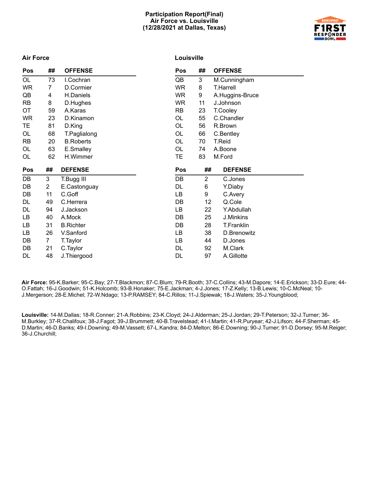#### **Participation Report(Final) Air Force vs. Louisville (12/28/2021 at Dallas, Texas)**



#### **Air Force**

# **Louisville**

| Pos       | ## | <b>OFFENSE</b>   | Pos       | ##             | <b>OFFENSE</b>  |
|-----------|----|------------------|-----------|----------------|-----------------|
| OL        | 73 | I.Cochran        | QB        | 3              | M.Cunningham    |
| <b>WR</b> | 7  | D.Cormier        | <b>WR</b> | 8              | T.Harrell       |
| QB        | 4  | H.Daniels        | WR        | 9              | A.Huggins-Bruce |
| <b>RB</b> | 8  | D.Hughes         | <b>WR</b> | 11             | J.Johnson       |
| <b>OT</b> | 59 | A.Karas          | RB        | 23             | T.Cooley        |
| <b>WR</b> | 23 | D.Kinamon        | OL        | 55             | C.Chandler      |
| TE        | 81 | D.King           | OL        | 56             | R.Brown         |
| OL        | 68 | T.Paglialong     | <b>OL</b> | 66             | C.Bentley       |
| <b>RB</b> | 20 | <b>B.Roberts</b> | <b>OL</b> | 70             | T.Reid          |
| OL        | 63 | E.Smalley        | <b>OL</b> | 74             | A.Boone         |
| OL        | 62 | H.Wimmer         | TE        | 83             | M.Ford          |
|           |    |                  |           |                |                 |
| Pos       | ## | <b>DEFENSE</b>   | Pos       | ##             | <b>DEFENSE</b>  |
| DB        | 3  | T.Bugg III       | DB        | $\overline{2}$ | C.Jones         |
| DB        | 2  | E.Castonguay     | DL.       | 6              | Y.Diaby         |
| DB        | 11 | C.Goff           | LB        | 9              | C.Avery         |
| DL        | 49 | C.Herrera        | DB        | 12             | Q.Cole          |
| DL        | 94 | J.Jackson        | LB        | 22             | Y.Abdullah      |
| LB        | 40 | A.Mock           | DB        | 25             | J.Minkins       |
| LВ        | 31 | <b>B.Richter</b> | DB        | 28             | T.Franklin      |
| LB        | 26 | V.Sanford        | LB        | 38             | D.Brenowitz     |
| DB        | 7  | T.Taylor         | LB        | 44             | D.Jones         |
| DB        | 21 | C.Taylor         | DL        | 92             | M.Clark         |

**Air Force:** 95-K.Barker; 95-C.Bay; 27-T.Blackmon; 87-C.Blum; 79-R.Booth; 37-C.Collins; 43-M.Dapore; 14-E.Erickson; 33-D.Eure; 44- O.Fattah; 16-J.Goodwin; 51-K.Holcomb; 93-B.Honaker; 75-E.Jackman; 4-J.Jones; 17-Z.Kelly; 13-B.Lewis; 10-C.McNeal; 10- J.Mergerson; 28-E.Michel; 72-W.Ndago; 13-P.RAMSEY; 84-C.Rillos; 11-J.Spiewak; 18-J.Waters; 35-J.Youngblood;

**Louisville:** 14-M.Dallas; 18-R.Conner; 21-A.Robbins; 23-K.Cloyd; 24-J.Alderman; 25-J.Jordan; 29-T.Peterson; 32-J.Turner; 36- M.Burkley; 37-R.Chalifoux; 38-J.Fagot; 39-J.Brummett; 40-B.Travelstead; 41-I.Martin; 41-R.Puryear; 42-J.Lifson; 44-F.Sherman; 45- D.Martin; 46-D.Banks; 49-I.Downing; 49-M.Vassett; 67-L.Kandra; 84-D.Melton; 86-E.Downing; 90-J.Turner; 91-D.Dorsey; 95-M.Reiger; 36-J.Churchill;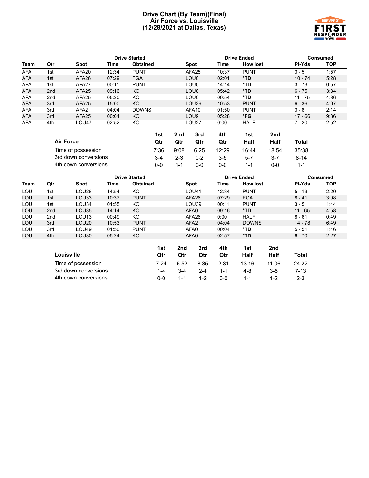#### **Drive Chart (By Team)(Final) Air Force vs. Louisville (12/28/2021 at Dallas, Texas)**



|            |     |                   |       | <b>Drive Started</b> |                   |       | <b>Drive Ended</b> |               | Consumed   |
|------------|-----|-------------------|-------|----------------------|-------------------|-------|--------------------|---------------|------------|
| Team       | Qtr | <b>Spot</b>       | Time  | <b>Obtained</b>      | <b>Spot</b>       | Time  | <b>How lost</b>    | <b>PI-Yds</b> | <b>TOP</b> |
| <b>AFA</b> | 1st | AFA20             | 12:34 | <b>PUNT</b>          | AFA <sub>25</sub> | 10:37 | <b>PUNT</b>        | $3 - 5$       | 1:57       |
| <b>AFA</b> | 1st | AFA26             | 07:29 | <b>FGA</b>           | <b>LOU0</b>       | 02:01 | $*TD$              | $110 - 74$    | 5:28       |
| <b>AFA</b> | 1st | AFA <sub>27</sub> | 00:11 | <b>PUNT</b>          | LOU0              | 14:14 | *TD                | $3 - 73$      | 0:57       |
| <b>AFA</b> | 2nd | AFA <sub>25</sub> | 09:16 | KO                   | LOU0              | 05:42 | $*TD$              | $6 - 75$      | 3:34       |
| <b>AFA</b> | 2nd | AFA25             | 05:30 | KO                   | LOU0              | 00:54 | *TD                | 11 - 75       | 4:36       |
| <b>AFA</b> | 3rd | AFA <sub>25</sub> | 15:00 | KO                   | LOU39             | 10:53 | <b>PUNT</b>        | $6 - 36$      | 4:07       |
| <b>AFA</b> | 3rd | AFA <sub>2</sub>  | 04:04 | <b>DOWNS</b>         | AFA10             | 01:50 | <b>PUNT</b>        | $3 - 8$       | 2:14       |
| <b>AFA</b> | 3rd | AFA <sub>25</sub> | 00:04 | KO                   | <b>LOU9</b>       | 05:28 | *FG                | $17 - 66$     | 9:36       |
| <b>AFA</b> | 4th | LOU47             | 02:52 | KO                   | LOU <sub>27</sub> | 0:00  | <b>HALF</b>        | $7 - 20$      | 2:52       |

|                      | 1st   | 2nd     | 3rd     | 4th   | 1st     | 2nd   |        |
|----------------------|-------|---------|---------|-------|---------|-------|--------|
| <b>Air Force</b>     | Otr   | Qtr     | Qtr     | Qtr   | Half    | Half  | Total  |
| Time of possession   | 7:36  | 9:08    | 6:25    | 12:29 | 16:44   | 18:54 | 35:38  |
| 3rd down conversions | $3-4$ | $2 - 3$ | $0 - 2$ | $3-5$ | $5 - 7$ | 3-7   | $8-14$ |
| 4th down conversions | ი-ი   | 1-1     | 0-0     | 0-0   | 1-1     | ი-ი   | 1-1    |

|      |                      | <b>Drive Started</b> |       |                 |            |                        | <b>Drive Ended</b> |             |                 |                    | <b>Consumed</b> |            |
|------|----------------------|----------------------|-------|-----------------|------------|------------------------|--------------------|-------------|-----------------|--------------------|-----------------|------------|
| Team | Qtr                  | Spot                 | Time  | <b>Obtained</b> |            | <b>Spot</b>            |                    | <b>Time</b> | <b>How lost</b> |                    | <b>PI-Yds</b>   | <b>TOP</b> |
| LOU  | 1st                  | LOU28                | 14:54 | KO.             |            |                        | LOU41              | 12:34       | <b>PUNT</b>     |                    | $5 - 13$        | 2:20       |
| LOU  | 1st                  | LOU33                | 10:37 | <b>PUNT</b>     |            |                        | AFA26              | 07:29       | <b>FGA</b>      |                    | $8 - 41$        | 3:08       |
| LOU  | 1st                  | LOU34                | 01:55 | KO              |            |                        | LOU39              | 00:11       | <b>PUNT</b>     |                    | $3 - 5$         | 1:44       |
| LOU  | 2 <sub>nd</sub>      | LOU35                | 14:14 | KO.             |            |                        | AFA0               | 09:16       | $*TD$           |                    | $11 - 65$       | 4:58       |
| LOU  | 2 <sub>nd</sub>      | LOU <sub>13</sub>    | 00:49 | KO              |            |                        | AFA26              | 0:00        | <b>HALF</b>     |                    | $8 - 61$        | 0:49       |
| LOU  | 3rd                  | LOU <sub>20</sub>    | 10:53 | <b>PUNT</b>     |            |                        | AFA <sub>2</sub>   | 04:04       | <b>DOWNS</b>    |                    | $14 - 78$       | 6:49       |
| LOU  | 3rd                  | LOU49                | 01:50 | <b>PUNT</b>     |            |                        | AFA0               | 00:04       | *TD             |                    | $5 - 51$        | 1:46       |
| LOU  | 4th                  | LOU30                | 05:24 | KO              |            |                        | AFA0               | 02:57       | *TD             |                    | $6 - 70$        | 2:27       |
|      |                      | Louisville           |       |                 | 1st<br>Qtr | 2 <sub>nd</sub><br>Qtr | 3rd<br>Qtr         | 4th<br>Qtr  | 1st<br>Half     | 2nd<br><b>Half</b> | <b>Total</b>    |            |
|      |                      | Time of possession   |       |                 | 7:24       | 5:52                   | 8:35               | 2:31        | 13:16           | 11:06              | 24:22           |            |
|      | 3rd down conversions |                      |       |                 | $1 - 4$    | $3 - 4$                | $2 - 4$            | $1 - 1$     | $4 - 8$         | $3-5$              | $7 - 13$        |            |
|      | 4th down conversions |                      |       |                 | $0-0$      | $1 - 1$                | $1 - 2$            | $0-0$       | $1 - 1$         | $1 - 2$            | $2 - 3$         |            |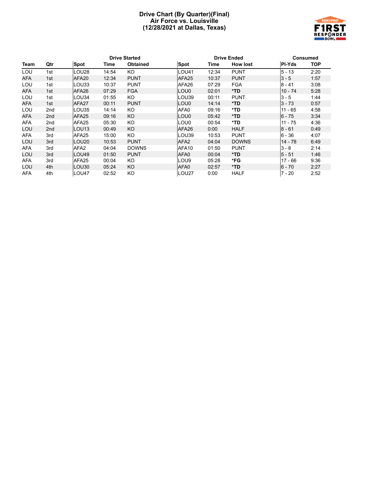#### **Drive Chart (By Quarter)(Final) Air Force vs. Louisville (12/28/2021 at Dallas, Texas)**



|            |     |                   |       | <b>Drive Started</b> |                   |       | <b>Drive Ended</b> |           | <b>Consumed</b> |
|------------|-----|-------------------|-------|----------------------|-------------------|-------|--------------------|-----------|-----------------|
| Team       | Qtr | <b>Spot</b>       | Time  | <b>Obtained</b>      | <b>Spot</b>       | Time  | <b>How lost</b>    | PI-Yds    | <b>TOP</b>      |
| LOU        | 1st | LOU28             | 14:54 | KO                   | <b>LOU41</b>      | 12:34 | <b>PUNT</b>        | $5 - 13$  | 2:20            |
| <b>AFA</b> | 1st | AFA <sub>20</sub> | 12:34 | <b>PUNT</b>          | AFA <sub>25</sub> | 10:37 | <b>PUNT</b>        | $3 - 5$   | 1:57            |
| LOU        | 1st | LOU33             | 10:37 | <b>PUNT</b>          | AFA26             | 07:29 | <b>FGA</b>         | 8 - 41    | 3:08            |
| AFA        | 1st | AFA26             | 07:29 | <b>FGA</b>           | LOU0              | 02:01 | $*TD$              | $10 - 74$ | 5:28            |
| LOU        | 1st | LOU34             | 01:55 | KO                   | LOU39             | 00:11 | <b>PUNT</b>        | $3 - 5$   | 1:44            |
| AFA        | 1st | AFA <sub>27</sub> | 00:11 | <b>PUNT</b>          | LOU0              | 14:14 | *TD                | $3 - 73$  | 0:57            |
| LOU        | 2nd | LOU35             | 14:14 | KO                   | AFA0              | 09:16 | *TD                | $11 - 65$ | 4:58            |
| AFA        | 2nd | AFA <sub>25</sub> | 09:16 | <b>KO</b>            | LOU0              | 05:42 | $*TD$              | $6 - 75$  | 3:34            |
| AFA        | 2nd | AFA <sub>25</sub> | 05:30 | KO                   | LOU0              | 00:54 | *TD                | $11 - 75$ | 4:36            |
| LOU        | 2nd | LOU <sub>13</sub> | 00:49 | <b>KO</b>            | AFA26             | 0:00  | <b>HALF</b>        | $8 - 61$  | 0:49            |
| <b>AFA</b> | 3rd | AFA <sub>25</sub> | 15:00 | KO                   | LOU39             | 10:53 | <b>PUNT</b>        | $6 - 36$  | 4:07            |
| LOU        | 3rd | LOU <sub>20</sub> | 10:53 | <b>PUNT</b>          | AFA <sub>2</sub>  | 04:04 | <b>DOWNS</b>       | 14 - 78   | 6:49            |
| AFA        | 3rd | AFA <sub>2</sub>  | 04:04 | <b>DOWNS</b>         | AFA10             | 01:50 | <b>PUNT</b>        | $3 - 8$   | 2:14            |
| LOU        | 3rd | LOU49             | 01:50 | <b>PUNT</b>          | AFA0              | 00:04 | $*TD$              | $5 - 51$  | 1:46            |
| <b>AFA</b> | 3rd | AFA <sub>25</sub> | 00:04 | KO                   | LOU9              | 05:28 | *FG                | $17 - 66$ | 9:36            |
| LOU        | 4th | LOU30             | 05:24 | <b>KO</b>            | AFA0              | 02:57 | *TD                | $6 - 70$  | 2:27            |
| AFA        | 4th | LOU47             | 02:52 | KO                   | LOU27             | 0:00  | <b>HALF</b>        | 7 - 20    | 2:52            |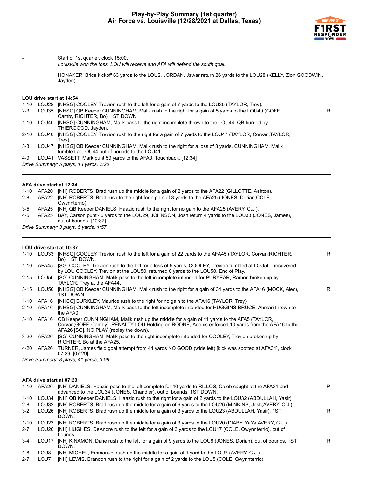

R

R

Start of 1st quarter, clock 15:00.

*Louisville won the toss. LOU will receive and AFA will defend the south goal.*

HONAKER, Brice kickoff 63 yards to the LOU2, JORDAN, Jawar return 26 yards to the LOU28 (KELLY, Zion;GOODWIN, Jayden).

#### **LOU drive start at 14:54**

1-10 LOU28 [NHSG] COOLEY, Trevion rush to the left for a gain of 7 yards to the LOU35 (TAYLOR, Trey). 2-3 LOU35 [NHSG] QB Keeper CUNNINGHAM, Malik rush to the right for a gain of 5 yards to the LOU40 (GOFF, Camby;RICHTER, Bo), 1ST DOWN. 1-10 LOU40 [NHSG] CUNNINGHAM, Malik pass to the right incomplete thrown to the LOU44; QB hurried by THIERGOOD, Jayden. 2-10 LOU40 [NHSG] COOLEY, Trevion rush to the right for a gain of 7 yards to the LOU47 (TAYLOR, Corvan;TAYLOR, Trey). 3-3 LOU47 [NHSG] QB Keeper CUNNINGHAM, Malik rush to the right for a loss of 3 yards, CUNNINGHAM, Malik fumbled at LOU44 out of bounds to the LOU41. 4-9 LOU41 VASSETT, Mark punt 59 yards to the AFA0, Touchback. [12:34] *Drive Summary: 5 plays, 13 yards, 2:20*

#### **AFA drive start at 12:34**

| 1-10    | AFA20 | [NH] ROBERTS, Brad rush up the middle for a gain of 2 yards to the AFA22 (GILLOTTE, Ashton).            |
|---------|-------|---------------------------------------------------------------------------------------------------------|
| $2 - 8$ | AFA22 | [NH] ROBERTS, Brad rush to the right for a gain of 3 yards to the AFA25 (JONES, Dorian; COLE,           |
|         |       | Qwynnterrio).                                                                                           |
| $3-5$   |       | AFA25 [NH] QB Keeper DANIELS, Haazig rush to the right for no gain to the AFA25 (AVERY, C.J.).          |
| 4-5     |       | AFA25 BAY, Carson punt 46 yards to the LOU29, JOHNSON, Josh return 4 yards to the LOU33 (JONES, James). |
|         |       | out of bounds. [10:37]                                                                                  |
|         |       | Drive Summary: 3 plays, 5 yards, 1:57                                                                   |

#### **LOU drive start at 10:37**

bounds.

DOWN.

|          |            | 1-10 LOU33 [NHSG] COOLEY, Trevion rush to the left for a gain of 22 yards to the AFA45 (TAYLOR, Corvan; RICHTER,<br>Bo), 1ST DOWN.                                                                                                         | R. |
|----------|------------|--------------------------------------------------------------------------------------------------------------------------------------------------------------------------------------------------------------------------------------------|----|
|          | 1-10 AFA45 | [SG] COOLEY, Trevion rush to the left for a loss of 5 yards, COOLEY, Trevion fumbled at LOU50, recovered<br>by LOU COOLEY, Trevion at the LOU50, returned 0 yards to the LOU50, End of Play.                                               |    |
|          | 2-15 LOU50 | [SG] CUNNINGHAM, Malik pass to the left incomplete intended for PURYEAR, Ramon broken up by<br>TAYLOR, Trey at the AFA44.                                                                                                                  |    |
| $3 - 15$ | LOU50      | [NHSG] QB Keeper CUNNINGHAM, Malik rush to the right for a gain of 34 yards to the AFA16 (MOCK, Alec),<br>1ST DOWN.                                                                                                                        | R  |
| $1 - 10$ | AFA16      | [NHSG] BURKLEY, Maurice rush to the right for no gain to the AFA16 (TAYLOR, Trey).                                                                                                                                                         |    |
| $2 - 10$ | AFA16      | [NHSG] CUNNINGHAM, Malik pass to the left incomplete intended for HUGGINS-BRUCE, Ahmari thrown to<br>the AFA0.                                                                                                                             |    |
| $3 - 10$ | AFA16      | QB Keeper CUNNINGHAM, Malik rush up the middle for a gain of 11 yards to the AFA5 (TAYLOR,<br>Corvan; GOFF, Camby). PENALTY LOU Holding on BOONE, Adonis enforced 10 yards from the AFA16 to the<br>AFA26 [SG]. NO PLAY (replay the down). |    |
| $3 - 20$ | AFA26      | [SG] CUNNINGHAM, Malik pass to the right incomplete intended for COOLEY, Trevion broken up by<br>RICHTER, Bo at the AFA25.                                                                                                                 |    |
|          |            | 4-20 AFA26 TURNER, James field goal attempt from 44 yards NO GOOD (wide left) [kick was spotted at AFA34], clock<br>07:29. [07:29]                                                                                                         |    |
|          |            | Drive Summary: 8 plays, 41 yards, 3:08                                                                                                                                                                                                     |    |
|          |            | AFA drive start at 07:29                                                                                                                                                                                                                   |    |
|          | 1-10 AFA26 | [NH] DANIELS, Haazig pass to the left complete for 40 yards to RILLOS, Caleb caught at the AFA34 and<br>advanced to the LOU34 (JONES, Chandler), out of bounds, 1ST DOWN.                                                                  | P  |
| $1 - 10$ | LOU34      | [NH] QB Keeper DANIELS, Haazig rush to the right for a gain of 2 yards to the LOU32 (ABDULLAH, Yasir).                                                                                                                                     |    |
| $2 - 8$  | LOU32      | [NH] ROBERTS, Brad rush up the middle for a gain of 6 yards to the LOU26 (MINKINS, Josh; AVERY, C.J.).                                                                                                                                     |    |
| $3-2$    | LOU26      | [NH] ROBERTS, Brad rush up the middle for a gain of 3 yards to the LOU23 (ABDULLAH, Yasir), 1ST<br>DOWN.                                                                                                                                   | R. |
| $1 - 10$ | LOU23      | [NH] ROBERTS, Brad rush up the middle for a gain of 3 yards to the LOU20 (DIABY, YaYa;AVERY, C.J.).                                                                                                                                        |    |
| $2 - 7$  | LOU20      | [NH] HUGHES, DeAndre rush to the left for a gain of 3 yards to the LOU17 (COLE, Qwynnterrio), out of                                                                                                                                       |    |

3-4 LOU17 [NH] KINAMON, Dane rush to the left for a gain of 9 yards to the LOU8 (JONES, Dorian), out of bounds, 1ST

1-8 LOU8 [NH] MICHEL, Emmanuel rush up the middle for a gain of 1 yard to the LOU7 (AVERY, C.J.). 2-7 LOU7 [NH] LEWIS, Brandon rush to the right for a gain of 2 yards to the LOU5 (COLE, Qwynnterrio).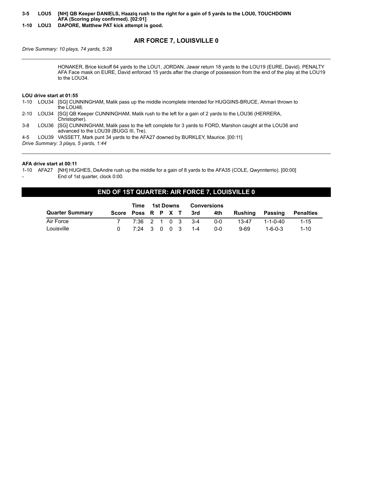**3-5 LOU5 [NH] QB Keeper DANIELS, Haaziq rush to the right for a gain of 5 yards to the LOU0, TOUCHDOWN AFA (Scoring play confirmed). [02:01]**

**1-10 LOU3 DAPORE, Matthew PAT kick attempt is good.**

# **AIR FORCE 7, LOUISVILLE 0**

*Drive Summary: 10 plays, 74 yards, 5:28*

HONAKER, Brice kickoff 64 yards to the LOU1, JORDAN, Jawar return 18 yards to the LOU19 (EURE, David). PENALTY AFA Face mask on EURE, David enforced 15 yards after the change of possession from the end of the play at the LOU19 to the LOU34.

#### **LOU drive start at 01:55**

1-10 LOU34 [SG] CUNNINGHAM, Malik pass up the middle incomplete intended for HUGGINS-BRUCE, Ahmari thrown to the LOU48.

2-10 LOU34 [SG] QB Keeper CUNNINGHAM, Malik rush to the left for a gain of 2 yards to the LOU36 (HERRERA, Christopher).

3-8 LOU36 [SG] CUNNINGHAM, Malik pass to the left complete for 3 yards to FORD, Marshon caught at the LOU36 and advanced to the LOU39 (BUGG III, Tre).

4-5 LOU39 VASSETT, Mark punt 34 yards to the AFA27 downed by BURKLEY, Maurice. [00:11]

*Drive Summary: 3 plays, 5 yards, 1:44*

#### **AFA drive start at 00:11**

1-10 AFA27 [NH] HUGHES, DeAndre rush up the middle for a gain of 8 yards to the AFA35 (COLE, Qwynnterrio). [00:00] End of 1st quarter, clock 0:00.

#### **END OF 1ST QUARTER: AIR FORCE 7, LOUISVILLE 0**

| Time                   |  |                  |  | 1st Downs |                        | Conversions |                 |                 |           |  |
|------------------------|--|------------------|--|-----------|------------------------|-------------|-----------------|-----------------|-----------|--|
| <b>Quarter Summary</b> |  |                  |  |           | Score Poss R P X T 3rd | 4th         | Rushing Passing |                 | Penalties |  |
| Air Force              |  | 7:36 2 1 0 3 3-4 |  |           |                        | 0-0         | 13-47           | 1-1-0-40        | $1 - 15$  |  |
| Louisville             |  |                  |  |           | 7:24 3 0 0 3 1-4       | $0 - 0$     | $9-69$          | $1 - 6 - 0 - 3$ | $1 - 10$  |  |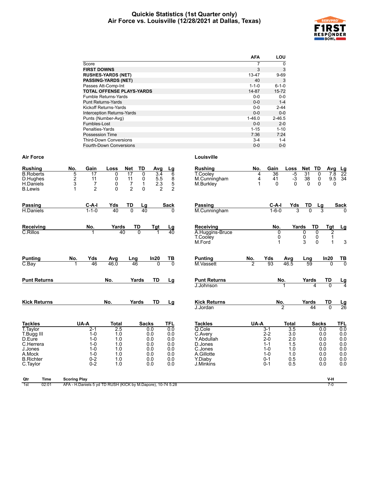#### **Quickie Statistics (1st Quarter only) Air Force vs. Louisville (12/28/2021 at Dallas, Texas)**



|                                   | AFA         | LOU         |
|-----------------------------------|-------------|-------------|
| Score                             | 7           | 0           |
| <b>FIRST DOWNS</b>                | 3           | 3           |
| <b>RUSHES-YARDS (NET)</b>         | 13-47       | $9 - 69$    |
| <b>PASSING-YARDS (NET)</b>        | 40          | 3           |
| Passes Att-Comp-Int               | $1 - 1 - 0$ | $6 - 1 - 0$ |
| <b>TOTAL OFFENSE PLAYS-YARDS</b>  | 14-87       | $15 - 72$   |
| <b>Fumble Returns-Yards</b>       | $0 - 0$     | $0 - 0$     |
| <b>Punt Returns-Yards</b>         | $0 - 0$     | $1 - 4$     |
| Kickoff Returns-Yards             | $0 - 0$     | $2 - 44$    |
| <b>Interception Returns-Yards</b> | $0 - 0$     | $0 - 0$     |
| Punts (Number-Avg)                | $1 - 46.0$  | $2 - 46.5$  |
| Fumbles-Lost                      | $0 - 0$     | $2 - 0$     |
| Penalties-Yards                   | $1 - 15$    | $1 - 10$    |
| Possession Time                   | 7:36        | 7:24        |
| <b>Third-Down Conversions</b>     | $3 - 4$     | $1 - 4$     |
| <b>Fourth-Down Conversions</b>    | $0 - 0$     | $0 - 0$     |

| <b>Rushing</b>                                              | No.                 | Gain                            | Loss                                                        | <b>TD</b><br><b>Net</b>                                        | Avg                                                     | <u>Lg</u>                                  | <b>Rushing</b>                               | No.            | Gain                                  | Loss                     | Net                      | TD                                        | Avg                 | <u>Lg</u>             |
|-------------------------------------------------------------|---------------------|---------------------------------|-------------------------------------------------------------|----------------------------------------------------------------|---------------------------------------------------------|--------------------------------------------|----------------------------------------------|----------------|---------------------------------------|--------------------------|--------------------------|-------------------------------------------|---------------------|-----------------------|
| <b>B.Roberts</b><br>D.Hughes<br>H.Daniels<br><b>B.Lewis</b> | 5<br>2<br>3<br>1    | 17<br>11<br>7<br>$\overline{2}$ | 0<br>0<br>0<br>$\Omega$                                     | 17<br>0<br>11<br>0<br>$\frac{7}{2}$<br>$\mathbf 1$<br>$\Omega$ | $\overline{3.4}$<br>$\frac{5.5}{2.3}$<br>$\overline{2}$ | $\overline{6}$<br>8<br>5<br>$\overline{2}$ | <b>T.Coolev</b><br>M.Cunningham<br>M.Burkley | 4<br>4<br>1    | $\overline{36}$<br>41<br>$\mathbf{0}$ | $-5$<br>$-3$<br>$\Omega$ | 31<br>38<br>$\mathbf{0}$ | 0<br>$\mathsf 0$<br>$\mathbf{0}$          | 7.8<br>9.5<br>0     | $\overline{22}$<br>34 |
| <b>Passing</b>                                              |                     | $C-A-I$                         | Yds                                                         | TD                                                             | Lg                                                      | <b>Sack</b>                                | Passing                                      |                | C-A-I                                 | Yds                      | TD                       | Lg                                        |                     | <b>Sack</b>           |
| <b>H.Daniels</b>                                            |                     | $1 - 1 - 0$                     | 40                                                          | $\overline{0}$                                                 | 40                                                      | <sup>0</sup>                               | M.Cunningham                                 |                | $1 - 6 - 0$                           |                          | 3                        |                                           |                     |                       |
| Receiving                                                   |                     | No.                             | Yards                                                       | TD                                                             | $Tgt$ <sub>1</sub>                                      | $\frac{Lg}{40}$                            | Receiving                                    |                | No.                                   |                          | Yards                    | TD                                        | <b>Tgt</b>          | <u>Lg</u>             |
| C.Rillos                                                    |                     |                                 | 40                                                          | $\overline{0}$                                                 |                                                         |                                            | A.Huggins-Bruce<br>T.Cooley<br>M.Ford        |                |                                       | $\mathbf{0}$<br>0<br>1   | 0<br>$\frac{0}{3}$       | 0<br>$\begin{matrix} 0 \\ 0 \end{matrix}$ | $\overline{2}$<br>1 | 3                     |
| <b>Punting</b>                                              | No.                 | Yds                             | Avg                                                         | Lng                                                            | In20                                                    | TВ                                         | <b>Punting</b>                               | No.            | Yds                                   | Avg                      | Lng                      |                                           | In20                | <u>ТВ</u>             |
| $C$ . Bay                                                   |                     | 46                              | 46.0                                                        | 46                                                             | $\Omega$                                                | $\Omega$                                   | M.Vassett                                    | $\overline{2}$ | 93                                    | 46.5                     | 59                       |                                           | <sup>0</sup>        | $\overline{0}$        |
| <b>Punt Returns</b>                                         |                     |                                 | No.                                                         | Yards                                                          | <b>TD</b>                                               | Lg                                         | <b>Punt Returns</b>                          |                |                                       | No.                      | Yards                    |                                           | TD                  | $\frac{Lg}{4}$        |
|                                                             |                     |                                 |                                                             |                                                                |                                                         |                                            | J.Johnson                                    |                |                                       |                          |                          | 4                                         | $\overline{0}$      |                       |
| <b>Kick Returns</b>                                         |                     |                                 | No.                                                         | Yards                                                          | TD                                                      | Lg                                         | <b>Kick Returns</b>                          |                |                                       | No.                      | Yards                    |                                           | TD                  | $\frac{Lg}{26}$       |
|                                                             |                     |                                 |                                                             |                                                                |                                                         |                                            | J.Jordan                                     |                |                                       | $\overline{2}$           |                          | 44                                        | $\overline{0}$      |                       |
| <b>Tackles</b>                                              |                     | UA-A                            | <b>Total</b>                                                |                                                                | <b>Sacks</b>                                            | <b>TFL</b>                                 | <b>Tackles</b>                               | UA-A           |                                       | <b>Total</b>             |                          | <b>Sacks</b>                              |                     | <b>TFL</b>            |
| T. Taylor<br>T.Bugg III                                     |                     | $2 - 1$<br>$1 - 0$              | 2.5<br>1.0                                                  |                                                                | 0.0<br>0.0                                              | 0.0<br>0.0                                 | Q.Cole<br>C.Avery                            |                | $3 - 1$<br>$2 - 2$                    | 3.5<br>3.0               |                          | 0.0<br>0.0                                |                     | 0.0<br>0.0            |
| D.Eure                                                      |                     | $1 - 0$                         | 1.0                                                         |                                                                | 0.0                                                     | 0.0                                        | Y.Abdullah                                   |                | $2 - 0$                               | 2.0                      |                          | 0.0                                       |                     | $0.0\,$               |
| C.Herrera                                                   |                     | $1 - 0$                         | 1.0                                                         |                                                                | 0.0                                                     | 0.0                                        | D.Jones                                      |                | $1 - 1$                               | 1.5                      |                          | 0.0                                       |                     | 0.0                   |
| J.Jones                                                     |                     | $1 - 0$                         | 1.0                                                         |                                                                | 0.0                                                     | 0.0                                        | C.Jones                                      |                | $1 - 0$                               | 1.0                      |                          | 0.0                                       |                     | 0.0                   |
| A.Mock<br><b>B.Richter</b>                                  |                     | $1 - 0$<br>$0 - 2$              | 1.0<br>1.0                                                  |                                                                | 0.0<br>0.0                                              | 0.0<br>0.0                                 | A.Gillotte<br>Y.Diaby                        |                | $1 - 0$<br>$0 - 1$                    | 1.0<br>0.5               |                          | 0.0<br>0.0                                |                     | $0.0\,$<br>0.0        |
| C.Taylor                                                    |                     | $0 - 2$                         | 1.0                                                         |                                                                | 0.0                                                     | 0.0                                        | J.Minkins                                    |                | $0 - 1$                               | 0.5                      |                          | 0.0                                       |                     | 0.0                   |
| Qtr<br><b>Time</b>                                          | <b>Scoring Play</b> |                                 |                                                             |                                                                |                                                         |                                            |                                              |                |                                       |                          |                          |                                           | V-H                 |                       |
| 1st<br>02:01                                                |                     |                                 | AFA - H.Daniels 5 yd TD RUSH (KICK by M.Dapore), 10-74 5:28 |                                                                |                                                         |                                            |                                              |                |                                       |                          |                          |                                           | $7-0$               |                       |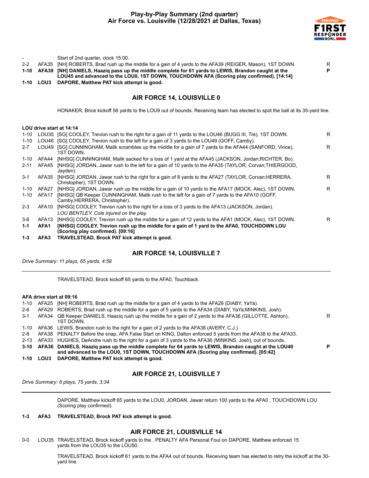

|          |                   | Start of 2nd quarter, clock 15:00.                                                                                                                                                         |              |
|----------|-------------------|--------------------------------------------------------------------------------------------------------------------------------------------------------------------------------------------|--------------|
| $2 - 2$  | AFA35             | [NH] ROBERTS, Brad rush up the middle for a gain of 4 yards to the AFA39 (REIGER, Mason), 1ST DOWN.                                                                                        | $\mathsf{R}$ |
| $1 - 10$ | AFA39             | [NH] DANIELS, Haazig pass up the middle complete for 61 yards to LEWIS, Brandon caught at the<br>LOU45 and advanced to the LOU0, 1ST DOWN, TOUCHDOWN AFA (Scoring play confirmed). [14:14] | P            |
| $1 - 10$ | <b>LOU3</b>       | DAPORE, Matthew PAT kick attempt is good.                                                                                                                                                  |              |
|          |                   | AIR FORCE 14, LOUISVILLE 0                                                                                                                                                                 |              |
|          |                   | HONAKER, Brice kickoff 56 yards to the LOU9 out of bounds. Receiving team has elected to spot the ball at its 35-yard line.                                                                |              |
|          |                   | LOU drive start at 14:14                                                                                                                                                                   |              |
| $1 - 10$ |                   | LOU35 [SG] COOLEY, Trevion rush to the right for a gain of 11 yards to the LOU46 (BUGG III, Tre), 1ST DOWN.                                                                                | R            |
| $1 - 10$ |                   | LOU46 [SG] COOLEY, Trevion rush to the left for a gain of 3 yards to the LOU49 (GOFF, Camby).                                                                                              |              |
| $2 - 7$  | LOU49             | [SG] CUNNINGHAM, Malik scrambles up the middle for a gain of 7 yards to the AFA44 (SANFORD, Vince),<br>1ST DOWN.                                                                           | R            |
| $1 - 10$ | AFA44             | [NHSG] CUNNINGHAM, Malik sacked for a loss of 1 yard at the AFA45 (JACKSON, Jordan;RICHTER, Bo).                                                                                           |              |
| $2 - 11$ | AFA45             | [NHSG] JORDAN, Jawar rush to the left for a gain of 10 yards to the AFA35 (TAYLOR, Corvan; THIERGOOD,<br>Jayden).                                                                          |              |
| $3 - 1$  | AFA35             | [NHSG] JORDAN, Jawar rush to the right for a gain of 8 yards to the AFA27 (TAYLOR, Corvan; HERRERA,<br>Christopher), 1ST DOWN.                                                             | R            |
| $1 - 10$ | AFA27             | [NHSG] JORDAN, Jawar rush up the middle for a gain of 10 yards to the AFA17 (MOCK, Alec), 1ST DOWN.                                                                                        | R            |
| $1 - 10$ | AFA17             | [NHSG] QB Keeper CUNNINGHAM, Malik rush to the left for a gain of 7 yards to the AFA10 (GOFF,<br>Camby: HERRERA, Christopher).                                                             |              |
| $2 - 3$  | AFA10             | [NHSG] COOLEY, Trevion rush to the right for a loss of 3 yards to the AFA13 (JACKSON, Jordan).<br>LOU BENTLEY, Cole injured on the play.                                                   |              |
| $3-6$    | AFA <sub>13</sub> | [NHSG] COOLEY, Trevion rush up the middle for a gain of 12 yards to the AFA1 (MOCK, Alec), 1ST DOWN.                                                                                       | R            |
| $1 - 1$  | AFA1              | [NHSG] COOLEY, Trevion rush up the middle for a gain of 1 yard to the AFA0, TOUCHDOWN LOU<br>(Scoring play confirmed). [09:16]                                                             |              |
| $1 - 3$  | AFA3              | TRAVELSTEAD, Brock PAT kick attempt is good.                                                                                                                                               |              |

#### **AIR FORCE 14, LOUISVILLE 7**

*Drive Summary: 11 plays, 65 yards, 4:58*

TRAVELSTEAD, Brock kickoff 65 yards to the AFA0, Touchback.

#### **AFA drive start at 09:16**

| 1-10  |      | AFA25 [NH] ROBERTS, Brad rush up the middle for a gain of 4 yards to the AFA29 (DIABY, YaYa).                                                                                                    |    |
|-------|------|--------------------------------------------------------------------------------------------------------------------------------------------------------------------------------------------------|----|
| 2-6   |      | AFA29 ROBERTS, Brad rush up the middle for a gain of 5 yards to the AFA34 (DIABY, YaYa;MINKINS, Josh).                                                                                           |    |
| $3-1$ |      | AFA34 QB Keeper DANIELS, Haazig rush up the middle for a gain of 2 yards to the AFA36 (GILLOTTE, Ashton),<br>1ST DOWN.                                                                           | R  |
| 1-10  |      | AFA36 LEWIS, Brandon rush to the right for a gain of 2 yards to the AFA38 (AVERY, C.J.).                                                                                                         |    |
| 2-8   |      | AFA38 PENALTY Before the snap, AFA False Start on KING, Dalton enforced 5 yards from the AFA38 to the AFA33.                                                                                     |    |
| 2-13  |      | AFA33 HUGHES, DeAndre rush to the right for a gain of 3 yards to the AFA36 (MINKINS, Josh), out of bounds.                                                                                       |    |
|       |      | 3-10 AFA36 DANIELS, Haazig pass up the middle complete for 64 yards to LEWIS, Brandon caught at the LOU40<br>and advanced to the LOU0, 1ST DOWN, TOUCHDOWN AFA (Scoring play confirmed). [05:42] | P. |
| 1-10  | LOU3 | DAPORE, Matthew PAT kick attempt is good.                                                                                                                                                        |    |

# **AIR FORCE 21, LOUISVILLE 7**

*Drive Summary: 6 plays, 75 yards, 3:34*

DAPORE, Matthew kickoff 65 yards to the LOU0, JORDAN, Jawar return 100 yards to the AFA0 , TOUCHDOWN LOU (Scoring play confirmed).

#### **1-3 AFA3 TRAVELSTEAD, Brock PAT kick attempt is good.**

#### **AIR FORCE 21, LOUISVILLE 14**

0-0 LOU35 TRAVELSTEAD, Brock kickoff yards to the . PENALTY AFA Personal Foul on DAPORE, Matthew enforced 15 yards from the LOU35 to the LOU50.

> TRAVELSTEAD, Brock kickoff 61 yards to the AFA4 out of bounds. Receiving team has elected to retry the kickoff at the 30 yard line.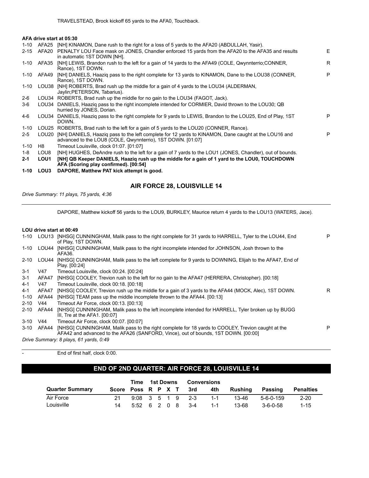#### **AFA drive start at 05:30**

| $1 - 10$ | AFA25             | [NH] KINAMON, Dane rush to the right for a loss of 5 yards to the AFA20 (ABDULLAH, Yasir).                                                                          |   |
|----------|-------------------|---------------------------------------------------------------------------------------------------------------------------------------------------------------------|---|
| $2 - 15$ | AFA20             | PENALTY LOU Face mask on JONES, Chandler enforced 15 yards from the AFA20 to the AFA35 and results<br>in automatic 1ST DOWN [NH].                                   | E |
| 1-10     | AFA35             | [NH] LEWIS, Brandon rush to the left for a gain of 14 yards to the AFA49 (COLE, Qwynnterrio; CONNER,<br>Rance), 1ST DOWN.                                           | R |
|          | 1-10 AFA49        | [NH] DANIELS, Haazig pass to the right complete for 13 yards to KINAMON, Dane to the LOU38 (CONNER,<br>Rance), 1ST DOWN.                                            | P |
|          |                   | 1-10 LOU38 [NH] ROBERTS, Brad rush up the middle for a gain of 4 yards to the LOU34 (ALDERMAN,<br>Jaylin; PETERSON, Tabarius).                                      |   |
| 2-6      |                   | LOU34 ROBERTS, Brad rush up the middle for no gain to the LOU34 (FAGOT, Jack).                                                                                      |   |
| $3-6$    | LOU34             | DANIELS, Haazig pass to the right incomplete intended for CORMIER, David thrown to the LOU30; QB<br>hurried by JONES, Dorian.                                       |   |
| 4-6      | LOU34             | DANIELS, Haazig pass to the right complete for 9 yards to LEWIS, Brandon to the LOU25, End of Play, 1ST<br>DOWN.                                                    | P |
| $1 - 10$ |                   | LOU25 ROBERTS, Brad rush to the left for a gain of 5 yards to the LOU20 (CONNER, Rance).                                                                            |   |
| $2 - 5$  | LOU <sub>20</sub> | [NH] DANIELS, Haazig pass to the left complete for 12 yards to KINAMON, Dane caught at the LOU16 and<br>advanced to the LOU8 (COLE, Qwynnterrio), 1ST DOWN. [01:07] | P |
| $1 - 10$ | H8                | Timeout Louisville, clock 01:07. [01:07]                                                                                                                            |   |
| 1-8      | LOU8              | [NH] HUGHES, DeAndre rush to the left for a gain of 7 yards to the LOU1 (JONES, Chandler), out of bounds.                                                           |   |
| $2 - 1$  | LOU1              | [NH] QB Keeper DANIELS, Haazig rush up the middle for a gain of 1 yard to the LOU0, TOUCHDOWN<br>AFA (Scoring play confirmed). [00:54]                              |   |
| 1-10     | LOU3              | DAPORE, Matthew PAT kick attempt is good.                                                                                                                           |   |
|          |                   |                                                                                                                                                                     |   |

# **AIR FORCE 28, LOUISVILLE 14**

*Drive Summary: 11 plays, 75 yards, 4:36*

DAPORE, Matthew kickoff 56 yards to the LOU9, BURKLEY, Maurice return 4 yards to the LOU13 (WATERS, Jace).

#### **LOU drive start at 00:49**

| 1-10     | LOU13 | [NHSG] CUNNINGHAM, Malik pass to the right complete for 31 yards to HARRELL, Tyler to the LOU44, End<br>of Play, 1ST DOWN.                                                              | P |
|----------|-------|-----------------------------------------------------------------------------------------------------------------------------------------------------------------------------------------|---|
| $1 - 10$ | LOU44 | [NHSG] CUNNINGHAM, Malik pass to the right incomplete intended for JOHNSON, Josh thrown to the<br>AFA36.                                                                                |   |
| $2 - 10$ | LOU44 | [NHSG] CUNNINGHAM, Malik pass to the left complete for 9 yards to DOWNING, Elijah to the AFA47, End of<br>Play. [00:24]                                                                 |   |
| 3-1      | V47   | Timeout Louisville, clock 00:24. [00:24]                                                                                                                                                |   |
| $3 - 1$  | AFA47 | [NHSG] COOLEY, Trevion rush to the left for no gain to the AFA47 (HERRERA, Christopher). [00:18]                                                                                        |   |
| 4-1      | V47   | Timeout Louisville, clock 00:18. [00:18]                                                                                                                                                |   |
| 4-1      | AFA47 | [NHSG] COOLEY, Trevion rush up the middle for a gain of 3 yards to the AFA44 (MOCK, Alec), 1ST DOWN.                                                                                    | R |
| $1 - 10$ | AFA44 | [NHSG] TEAM pass up the middle incomplete thrown to the AFA44. [00:13]                                                                                                                  |   |
| $2 - 10$ | V44   | Timeout Air Force, clock 00:13, [00:13]                                                                                                                                                 |   |
| $2 - 10$ | AFA44 | [NHSG] CUNNINGHAM, Malik pass to the left incomplete intended for HARRELL, Tyler broken up by BUGG<br>III, Tre at the AFA1. $[00:07]$                                                   |   |
| $3 - 10$ | V44   | Timeout Air Force, clock 00:07, [00:07]                                                                                                                                                 |   |
| $3 - 10$ | AFA44 | [NHSG] CUNNINGHAM, Malik pass to the right complete for 18 yards to COOLEY, Trevion caught at the<br>AFA42 and advanced to the AFA26 (SANFORD, Vince), out of bounds, 1ST DOWN, [00:00] | P |
|          |       | Drive Summary: 8 plays, 61 yards, 0:49                                                                                                                                                  |   |

| End of first half, clock 0:00. |
|--------------------------------|
|                                |

# **END OF 2ND QUARTER: AIR FORCE 28, LOUISVILLE 14**

|                        |                    | Time         | 1st Downs |  |  | <b>Conversions</b> |         |         |                  |                  |  |
|------------------------|--------------------|--------------|-----------|--|--|--------------------|---------|---------|------------------|------------------|--|
| <b>Quarter Summary</b> | Score Poss R P X T |              |           |  |  | 3rd                | 4th     | Rushina | Passing          | <b>Penalties</b> |  |
| Air Force              |                    |              |           |  |  | $9:08$ 3 5 1 9 2-3 | $1 - 1$ | 13-46   | 5-6-0-159        | $2 - 20$         |  |
| Louisville             |                    | 5:52 6 2 0 8 |           |  |  | $3-4$              | $1 - 1$ | 13-68   | $3 - 6 - 0 - 58$ | $1 - 15$         |  |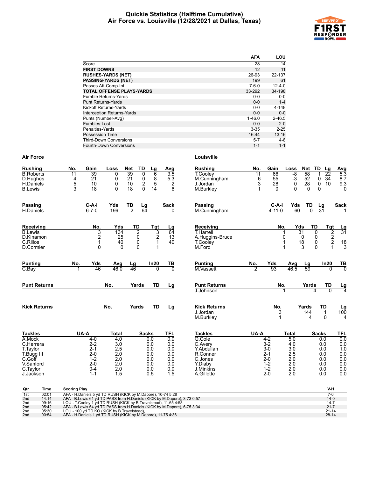#### **Quickie Statistics (Halftime Cumulative) Air Force vs. Louisville (12/28/2021 at Dallas, Texas)**



|                                   | <b>AFA</b>  | LOU          |
|-----------------------------------|-------------|--------------|
| Score                             | 28          | 14           |
| <b>FIRST DOWNS</b>                | 12          | 11           |
| <b>RUSHES-YARDS (NET)</b>         | 26-93       | 22-137       |
| <b>PASSING-YARDS (NET)</b>        | 199         | 61           |
| Passes Att-Comp-Int               | $7 - 6 - 0$ | $12 - 4 - 0$ |
| <b>TOTAL OFFENSE PLAYS-YARDS</b>  | 33-292      | 34-198       |
| Fumble Returns-Yards              | $0 - 0$     | $0-0$        |
| <b>Punt Returns-Yards</b>         | $0 - 0$     | $1 - 4$      |
| Kickoff Returns-Yards             | $0 - 0$     | 4-148        |
| <b>Interception Returns-Yards</b> | $0 - 0$     | $0 - 0$      |
| Punts (Number-Avg)                | $1 - 46.0$  | $2 - 46.5$   |
| Fumbles-Lost                      | $0 - 0$     | $2 - 0$      |
| Penalties-Yards                   | $3 - 35$    | $2 - 25$     |
| <b>Possession Time</b>            | 16:44       | 13:16        |
| <b>Third-Down Conversions</b>     | $5 - 7$     | $4 - 8$      |
| Fourth-Down Conversions           | $1 - 1$     | $1 - 1$      |

| <b>Rushing</b>                                       | No.                                                                                                                                     | Gain                         | Loss       | Net             | TD                                           | Lg           | Avg                     |  | <b>Rushing</b>                   | No.             | Gain         | Loss                   | Net                  | TD<br>Lg                | <b>Avg</b>                             |
|------------------------------------------------------|-----------------------------------------------------------------------------------------------------------------------------------------|------------------------------|------------|-----------------|----------------------------------------------|--------------|-------------------------|--|----------------------------------|-----------------|--------------|------------------------|----------------------|-------------------------|----------------------------------------|
| <b>B.Roberts</b><br>D.Hughes                         | $\overline{11}$<br>4                                                                                                                    | 39<br>21                     | 0<br>0     | 39<br>21        | 0                                            | 6<br>8       | $\overline{3.5}$<br>5.3 |  | T.Cooley<br>M.Cunningham         | $\overline{11}$ | 66<br>55     | -8<br>$-3$             | 58<br>52             | 22<br>0<br>34           | 5.3<br>8.7                             |
| H.Daniels                                            | 5                                                                                                                                       | 10                           | 0          | 10              | $\begin{smallmatrix} 0\\2 \end{smallmatrix}$ | 5            | $\overline{c}$          |  | J.Jordan                         | $^6_3$          | 28           | $\mathbf 0$            | 28                   | 0<br>10                 | 9.3                                    |
| <b>B.Lewis</b>                                       | 3                                                                                                                                       | 18                           | $\Omega$   | 18              | 0                                            | 14           | 6                       |  | M.Burkley                        | 1               | $\Omega$     | $\Omega$               | $\Omega$             | $\Omega$                | $\Omega$                               |
|                                                      |                                                                                                                                         |                              |            |                 |                                              |              |                         |  |                                  |                 |              |                        |                      |                         |                                        |
| <b>Passing</b>                                       |                                                                                                                                         | C-A-I                        | Yds        | TD              | Lg                                           |              | <b>Sack</b>             |  | Passing                          |                 | C-A-I        | Yds                    | TD                   | Lq                      | <b>Sack</b>                            |
| H.Daniels                                            |                                                                                                                                         | $6 - 7 - 0$                  | 199        | 2               | 64                                           |              |                         |  | M.Cunningham                     |                 | $4 - 11 - 0$ |                        | 60<br>$\overline{0}$ | $\overline{31}$         |                                        |
| Receiving                                            |                                                                                                                                         | No.                          | Yds        |                 | TD                                           | <b>Tgt</b>   | Lg                      |  | Receiving                        |                 |              | No.                    | Yds                  | TD<br><b>Tgt</b>        | <u>Lg</u>                              |
| <b>B.Lewis</b>                                       |                                                                                                                                         | 3                            | 134        |                 | $\overline{2}$                               | 3            | 64                      |  | <b>T.Harrell</b>                 |                 |              | 1                      | 31                   | 2<br>$\Omega$           | $\overline{31}$                        |
| D.Kinamon<br>C.Rillos                                |                                                                                                                                         | $\overline{\mathbf{c}}$<br>1 | 25<br>40   |                 | 0<br>0                                       | 2<br>1       | 13<br>40                |  | A.Huggins-Bruce<br>T.Cooley      |                 |              | 0<br>1                 | 0<br>18              | $\frac{2}{2}$<br>0<br>0 |                                        |
| D.Cormier                                            |                                                                                                                                         | 0                            | $\Omega$   |                 | 0                                            |              |                         |  | M.Ford                           |                 |              | 1                      | 3                    | 0<br>1                  | $\begin{array}{c} 18 \\ 3 \end{array}$ |
|                                                      |                                                                                                                                         |                              |            |                 |                                              |              |                         |  |                                  |                 |              |                        |                      |                         |                                        |
| <b>Punting</b>                                       | No.                                                                                                                                     | Yds                          | Avg        | Lg              |                                              | In20         | TВ                      |  | <b>Punting</b>                   | No.             | Yds          | Avg                    | Lg                   | In20                    | $\frac{TB}{0}$                         |
| $C$ . Bay                                            |                                                                                                                                         | 46                           | 46.0       | $\overline{46}$ |                                              | <sup>0</sup> | $\overline{0}$          |  | <b>M.Vassett</b>                 |                 | 93           | 46.5                   | 59                   | $\Omega$                |                                        |
|                                                      |                                                                                                                                         |                              |            |                 |                                              |              |                         |  |                                  |                 |              |                        |                      |                         |                                        |
| <b>Punt Returns</b>                                  |                                                                                                                                         |                              | No.        |                 | Yards                                        | TD           | Lg                      |  | <b>Punt Returns</b><br>J.Johnson |                 |              | No.                    | Yards                | TD<br>$\Omega$          | $\frac{\text{Lg}}{4}$                  |
|                                                      |                                                                                                                                         |                              |            |                 |                                              |              |                         |  |                                  |                 |              |                        |                      |                         |                                        |
| <b>Kick Returns</b>                                  |                                                                                                                                         |                              | No.        |                 | Yards                                        | TD           | Lg                      |  | <b>Kick Returns</b>              |                 | No.          |                        | Yards                | TD                      | Lg                                     |
|                                                      |                                                                                                                                         |                              |            |                 |                                              |              |                         |  | J.Jordan                         |                 |              | 3                      | 144                  | $\mathbf{1}$            | 100                                    |
|                                                      |                                                                                                                                         |                              |            |                 |                                              |              |                         |  | M.Burkley                        |                 |              | $\mathbf 1$            | 4                    | $\Omega$                | 4                                      |
| <b>Tackles</b>                                       | UA-A                                                                                                                                    |                              | Total      |                 | <b>Sacks</b>                                 |              | TFL                     |  | <b>Tackles</b>                   | UA-A            |              | <b>Total</b>           |                      | <b>Sacks</b>            | TFL                                    |
| A.Mock                                               |                                                                                                                                         | $4 - 0$                      | 4.0        |                 |                                              | 0.0          | 0.0                     |  | Q.Cole                           |                 | $4 - 2$      | 5.0                    |                      | 0.0                     | 0.0                                    |
| C.Herrera                                            |                                                                                                                                         | $2 - 2$                      | 3.0        |                 |                                              | 0.0          | 0.0                     |  | C.Avery                          |                 | $3-2$        | 4.0                    |                      | 0.0                     | 0.0                                    |
| T.Taylor                                             |                                                                                                                                         | $2 - 1$<br>$2 - 0$           | 2.5<br>2.0 |                 |                                              | 0.0<br>0.0   | 0.0<br>0.0              |  | Y.Abdullah<br>R.Conner           |                 | 3-0<br>$2-1$ | 3.0<br>2.5             |                      | 0.0<br>0.0              | 1.0                                    |
| T.Bugg III<br>C.Goff                                 |                                                                                                                                         | $1 - 2$                      | 2.0        |                 |                                              | 0.0          | 0.0                     |  | C.Jones                          |                 | $2 - 0$      | 2.0                    |                      | 0.0                     | 0.0<br>0.0                             |
| V.Sanford                                            |                                                                                                                                         | $2 - 0$                      | 2.0        |                 |                                              | 0.0          | 0.0                     |  | Y.Diaby                          |                 | $1 - 2$      | 2.0                    |                      | 0.0                     | 0.0                                    |
| C.Taylor                                             |                                                                                                                                         | $0 - 4$                      | 2.0        |                 |                                              | 0.0          | 0.0                     |  | J.Minkins                        |                 | $1 - 2$      | 2.0                    |                      | 0.0                     | 0.0                                    |
| J.Jackson                                            |                                                                                                                                         | $1 - 1$                      | 1.5        |                 |                                              | 0.5          | 1.5                     |  | A.Gillotte                       |                 | $2 - 0$      | 2.0                    |                      | 0.0                     | 0.0                                    |
|                                                      |                                                                                                                                         |                              |            |                 |                                              |              |                         |  |                                  |                 |              |                        |                      |                         |                                        |
| Qtr<br>Time<br>02:01                                 | <b>Scoring Play</b>                                                                                                                     |                              |            |                 |                                              |              |                         |  |                                  |                 |              |                        |                      | V-H<br>$7-0$            |                                        |
| 1st<br>2nd<br>14:14                                  | AFA - H.Daniels 5 yd TD RUSH (KICK by M.Dapore), 10-74 5:28<br>AFA - B.Lewis 61 yd TD PASS from H.Daniels (KICK by M.Dapore), 3-73 0:57 |                              |            |                 |                                              |              |                         |  |                                  |                 |              |                        |                      | $14-0$                  |                                        |
| 2nd<br>09:16                                         | LOU - T.Cooley 1 yd TD RUSH (KICK by B.Travelstead), 11-65 4:58                                                                         |                              |            |                 |                                              |              |                         |  |                                  |                 |              |                        |                      | $14 - 7$                |                                        |
| 05:42<br>2 <sub>nd</sub><br>2 <sub>nd</sub><br>05:30 | AFA - B.Lewis 64 yd TD PASS from H.Daniels (KICK by M.Dapore), 6-75 3:34                                                                |                              |            |                 |                                              |              |                         |  |                                  |                 |              |                        |                      | $21 - 7$                |                                        |
| 2 <sub>nd</sub><br>00:54                             | LOU - 100 yd TD KO (KICK by B. Travelstead),<br>AFA - H.Daniels 1 yd TD RUSH (KICK by M.Dapore), 11-75 4:36                             |                              |            |                 |                                              |              |                         |  |                                  |                 |              | $21 - 14$<br>$28 - 14$ |                      |                         |                                        |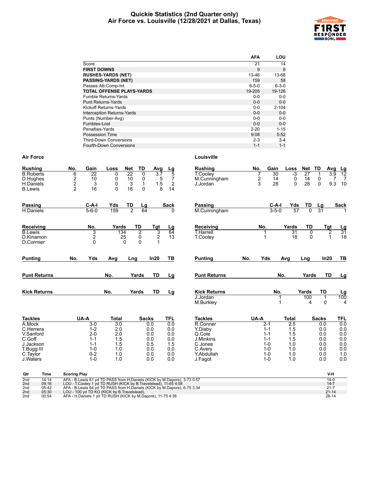#### **Quickie Statistics (2nd Quarter only) Air Force vs. Louisville (12/28/2021 at Dallas, Texas)**



| <b>AFA</b>  | LOU         |
|-------------|-------------|
| 21          | 14          |
| 9           | 8           |
| 13-46       | 13-68       |
| 159         | 58          |
| $6 - 5 - 0$ | $6 - 3 - 0$ |
| 19-205      | 19-126      |
| $0 - 0$     | $0-0$       |
| $0 - 0$     | $0 - 0$     |
| $0 - 0$     | $2 - 104$   |
| $0 - 0$     | $0 - 0$     |
| $0 - 0$     | $0 - 0$     |
| $0 - 0$     | $0 - 0$     |
| $2 - 20$    | $1 - 15$    |
| 9:08        | 5:52        |
| $2 - 3$     | $3 - 4$     |
| $1 - 1$     | $1 - 1$     |
|             |             |

| <b>Rushing</b>          | No.<br>Gain             | Loss             | TD<br><b>Net</b>     | Avg            | <u>Lg</u>            | <b>Rushing</b>        | No.           | Gain               | Loss         | Net             | TD<br>Avg       |                       |
|-------------------------|-------------------------|------------------|----------------------|----------------|----------------------|-----------------------|---------------|--------------------|--------------|-----------------|-----------------|-----------------------|
| <b>B.Roberts</b>        | $\overline{6}$<br>22    | 0                | 22<br>0              | 37             | 5                    | <b>T.Cooley</b>       | 7             | 30                 | $-3$         | $\overline{27}$ | 3.9             | $\frac{Lg}{12}$       |
| D.Hughes                | $\frac{2}{2}$<br>10     | 0                | 10<br>0              | 5              | 7                    | M.Cunningham          | $\frac{2}{3}$ | 14                 | 0            | 14              | $\mathbf 0$     | $\overline{7}$<br>7   |
| H.Daniels               | 3                       | 0                | 3<br>1               | 1.5            | $\sqrt{2}$           | J.Jordan              |               | 28                 | $\Omega$     | 28              | $\Omega$<br>9.3 | 10                    |
| <b>B.Lewis</b>          | 16                      | $\Omega$         | 16<br>0              | 8              | 14                   |                       |               |                    |              |                 |                 |                       |
| <b>Passing</b>          | C-A-I                   | Yds              | TD<br>Lg             |                | <b>Sack</b>          | <b>Passing</b>        |               | $C-A-I$            | Yds          | TD              | Lg              | <b>Sack</b>           |
| H.Daniels               | $5 - 6 - 0$             | 159              | $\overline{2}$<br>64 |                | $\Omega$             | M.Cunningham          |               | $3 - 5 - 0$        | 57           | $\overline{0}$  | 31              |                       |
| Receiving               | No.                     | Yards            | TD                   | Tgt            |                      | Receiving             | No.           |                    | Yards        | TD              | Tgt             |                       |
| <b>B.Lewis</b>          | 3                       | 134              | $\overline{2}$       | 3              | $rac{\text{Lg}}{64}$ | <b>T.Harrell</b>      |               |                    | 31           | 0               | 2               | $\frac{Lg}{31}$       |
| D.Kinamon               | $\overline{\mathbf{c}}$ | 25               | 0                    | $\overline{2}$ | 13                   | <b>T.Coolev</b>       |               |                    | 18           | 0               | $\mathbf 1$     | 18                    |
| D.Cormier               | $\Omega$                |                  | $\Omega$<br>$\Omega$ |                |                      |                       |               |                    |              |                 |                 |                       |
| <b>Punting</b>          | No.<br>Yds              | Avg              | Lng                  | In20           | TB                   | <b>Punting</b>        | Yds<br>No.    |                    | Avg          | Lng             | In20            | TB                    |
| <b>Punt Returns</b>     |                         | No.              | Yards                | <b>TD</b>      | Lg                   | <b>Punt Returns</b>   |               | No.                |              | Yards           | <b>TD</b>       | <u>Lg</u>             |
| <b>Kick Returns</b>     |                         | No.              | Yards                | <b>TD</b>      | Lg                   | <b>Kick Returns</b>   |               | No.                |              | Yards           | <b>TD</b>       |                       |
|                         |                         |                  |                      |                |                      | J.Jordan<br>M.Burkley |               | 1<br>1             |              | 100<br>4        | 1<br>0          | $\frac{Lg}{100}$<br>4 |
| <b>Tackles</b>          | UA-A                    | <b>Total</b>     | <b>Sacks</b>         |                | <b>TFL</b>           | <b>Tackles</b>        | UA-A          |                    | <b>Total</b> |                 | <b>Sacks</b>    | TFL                   |
| A.Mock                  | $3-0$                   | $\overline{3.0}$ |                      | 0.0            | 0.0                  | R.Conner              | $2-1$         |                    | 2.5          |                 | 0.0             | 0.0                   |
| C.Herrera               | $1 - 2$                 | 2.0              |                      | 0.0            | 0.0                  | Y.Diaby               |               | $1 - 1$            | 1.5          |                 | 0.0             | 0.0                   |
| V.Sanford               | $2 - 0$                 | 2.0              |                      | 0.0            | 0.0                  | Q.Cole                |               | $1 - 1$            | 1.5          |                 | 0.0             | 0.0                   |
| C.Goff                  | $1 - 1$                 | 1.5<br>1.5       |                      | 0.0            | 0.0<br>1.5           | J.Minkins             |               | $1 - 1$            | 1.5<br>1.0   |                 | 0.0             | 0.0                   |
| J.Jackson<br>T.Bugg III | $1 - 1$<br>$1 - 0$      | 1.0              |                      | 0.5<br>0.0     | 0.0                  | C.Jones<br>C.Avery    |               | $1 - 0$<br>$1 - 0$ | 1.0          |                 | 0.0<br>0.0      | 0.0<br>0.0            |
| C.Taylor                | $0 - 2$                 | 1.0              |                      | 0.0            | 0.0                  | Y.Abdullah            |               | $1 - 0$            | 1.0          |                 | 0.0             | 1.0                   |
| J.Waters                | $1 - 0$                 | 1.0              |                      | 0.0            | 0.0                  | J.Fagot               |               | $1 - 0$            | 1.0          |                 | 0.0             | 0.0                   |
| Qtr<br><b>Time</b>      | <b>Scoring Play</b>     |                  |                      |                |                      |                       |               |                    |              |                 | V-H             |                       |

| utr             | ∎ıme  | Scoring Play                                                                | v-n       |
|-----------------|-------|-----------------------------------------------------------------------------|-----------|
| 2 <sub>nd</sub> | 14:14 | AFA - B. Lewis 61 yd TD PASS from H. Daniels (KICK by M. Dapore), 3-73 0:57 | $14 - 0$  |
| 2nd             | 09:16 | LOU - T.Cooley 1 yd TD RUSH (KICK by B.Travelstead), 11-65 4:58             | $14 - 7$  |
| 2nd             | 05:42 | AFA - B. Lewis 64 yd TD PASS from H. Daniels (KICK by M. Dapore), 6-75 3:34 | $21 - 7$  |
| 2nd             | 05:30 | LOU - 100 vd TD KO (KICK by B.Travelstead).                                 | $21 - 14$ |
| 2nd             | 00:54 | AFA - H.Daniels 1 yd TD RUSH (KICK by M.Dapore), 11-75 4:36                 | $28-14$   |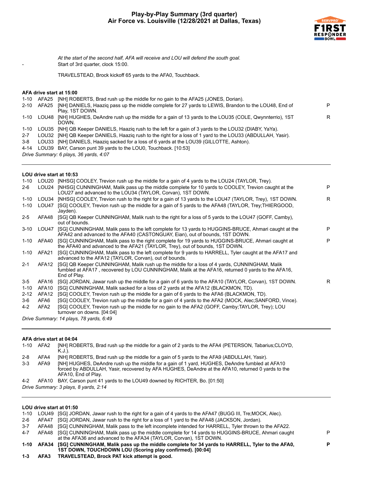

*At the start of the second half, AFA will receive and LOU will defend the south goal.* Start of 3rd quarter, clock 15:00.

TRAVELSTEAD, Brock kickoff 65 yards to the AFA0, Touchback.

#### **AFA drive start at 15:00**

| 1-10    |            | AFA25 [NH] ROBERTS, Brad rush up the middle for no gain to the AFA25 (JONES, Dorian).                                                                                                                                                                                                                                                                                                |   |
|---------|------------|--------------------------------------------------------------------------------------------------------------------------------------------------------------------------------------------------------------------------------------------------------------------------------------------------------------------------------------------------------------------------------------|---|
|         | 2-10 AFA25 | [NH] DANIELS, Haazig pass up the middle complete for 27 yards to LEWIS, Brandon to the LOU48, End of<br>Play, 1ST DOWN.                                                                                                                                                                                                                                                              | Þ |
| 1-10    |            | LOU48 [NH] HUGHES, DeAndre rush up the middle for a gain of 13 yards to the LOU35 (COLE, Qwynnterrio), 1ST<br>DOWN.                                                                                                                                                                                                                                                                  | R |
| 1-10    |            | LOU35 [NH] QB Keeper DANIELS, Haaziq rush to the left for a gain of 3 yards to the LOU32 (DIABY, YaYa).                                                                                                                                                                                                                                                                              |   |
| $2 - 7$ |            | LOU32 [NH] QB Keeper DANIELS, Haazig rush to the right for a loss of 1 yard to the LOU33 (ABDULLAH, Yasir).                                                                                                                                                                                                                                                                          |   |
|         |            | $\overline{a}$ $\overline{a}$ $\overline{a}$ $\overline{b}$ $\overline{a}$ $\overline{b}$ $\overline{a}$ $\overline{b}$ $\overline{c}$ $\overline{c}$ $\overline{c}$ $\overline{c}$ $\overline{c}$ $\overline{c}$ $\overline{c}$ $\overline{c}$ $\overline{c}$ $\overline{c}$ $\overline{c}$ $\overline{c}$ $\overline{c}$ $\overline{c}$ $\overline{c}$ $\overline{c}$ $\overline{$ |   |

- 3-8 LOU33 [NH] DANIELS, Haaziq sacked for a loss of 6 yards at the LOU39 (GILLOTTE, Ashton).
- 4-14 LOU39 BAY, Carson punt 39 yards to the LOU0, Touchback. [10:53]

*Drive Summary: 6 plays, 36 yards, 4:07*

#### **LOU drive start at 10:53**

| $1 - 10$ | LOU20                                   | [NHSG] COOLEY, Trevion rush up the middle for a gain of 4 yards to the LOU24 (TAYLOR, Trey).                                                                                                                      |   |  |  |  |  |  |  |
|----------|-----------------------------------------|-------------------------------------------------------------------------------------------------------------------------------------------------------------------------------------------------------------------|---|--|--|--|--|--|--|
| $2-6$    | LOU24                                   | [NHSG] CUNNINGHAM, Malik pass up the middle complete for 10 yards to COOLEY, Trevion caught at the<br>LOU27 and advanced to the LOU34 (TAYLOR, Corvan), 1ST DOWN.                                                 | P |  |  |  |  |  |  |
| $1 - 10$ | LOU34                                   | [NHSG] COOLEY, Trevion rush to the right for a gain of 13 yards to the LOU47 (TAYLOR, Trey), 1ST DOWN.                                                                                                            | R |  |  |  |  |  |  |
| $1 - 10$ | LOU47                                   | [SG] COOLEY, Trevion rush up the middle for a gain of 5 yards to the AFA48 (TAYLOR, Trey; THIERGOOD,<br>Jayden).                                                                                                  |   |  |  |  |  |  |  |
| $2 - 5$  | AFA48                                   | [SG] QB Keeper CUNNINGHAM, Malik rush to the right for a loss of 5 yards to the LOU47 (GOFF, Camby).<br>out of bounds.                                                                                            |   |  |  |  |  |  |  |
| $3 - 10$ | LOU47                                   | [SG] CUNNINGHAM, Malik pass to the left complete for 13 yards to HUGGINS-BRUCE, Ahmari caught at the<br>AFA42 and advanced to the AFA40 (CASTONGUAY, Eian), out of bounds, 1ST DOWN.                              | P |  |  |  |  |  |  |
| $1 - 10$ | AFA40                                   | [SG] CUNNINGHAM, Malik pass to the right complete for 19 yards to HUGGINS-BRUCE, Ahmari caught at<br>the AFA40 and advanced to the AFA21 (TAYLOR, Trey), out of bounds, 1ST DOWN.                                 | P |  |  |  |  |  |  |
| $1 - 10$ | AFA21                                   | [SG] CUNNINGHAM, Malik pass to the left complete for 9 yards to HARRELL, Tyler caught at the AFA17 and<br>advanced to the AFA12 (TAYLOR, Corvan), out of bounds.                                                  |   |  |  |  |  |  |  |
| $2 - 1$  | AFA12                                   | [SG] QB Keeper CUNNINGHAM, Malik rush up the middle for a loss of 4 yards, CUNNINGHAM, Malik<br>fumbled at AFA17, recovered by LOU CUNNINGHAM, Malik at the AFA16, returned 0 yards to the AFA16,<br>End of Play. |   |  |  |  |  |  |  |
| $3 - 5$  | AFA16                                   | [SG] JORDAN, Jawar rush up the middle for a gain of 6 yards to the AFA10 (TAYLOR, Corvan), 1ST DOWN.                                                                                                              | R |  |  |  |  |  |  |
| $1 - 10$ | AFA10                                   | [SG] CUNNINGHAM, Malik sacked for a loss of 2 yards at the AFA12 (BLACKMON, TD).                                                                                                                                  |   |  |  |  |  |  |  |
| $2 - 12$ | AFA <sub>12</sub>                       | [SG] COOLEY, Trevion rush up the middle for a gain of 6 yards to the AFA6 (BLACKMON, TD).                                                                                                                         |   |  |  |  |  |  |  |
| 3-6      | AFA6                                    | [SG] COOLEY, Trevion rush up the middle for a gain of 4 yards to the AFA2 (MOCK, Alec; SANFORD, Vince).                                                                                                           |   |  |  |  |  |  |  |
| $4 - 2$  | AFA2                                    | [SG] COOLEY, Trevion rush up the middle for no gain to the AFA2 (GOFF, Camby;TAYLOR, Trey); LOU<br>turnover on downs. [04:04]                                                                                     |   |  |  |  |  |  |  |
|          | Drive Summary: 14 plays, 78 yards, 6:49 |                                                                                                                                                                                                                   |   |  |  |  |  |  |  |
|          |                                         |                                                                                                                                                                                                                   |   |  |  |  |  |  |  |

#### **AFA drive start at 04:04**

| 1-10    | AFA2                                  | [NH] ROBERTS, Brad rush up the middle for a gain of 2 yards to the AFA4 (PETERSON, Tabarius; CLOYD,<br>K.J.).                                                                                                              |  |  |  |  |  |  |  |
|---------|---------------------------------------|----------------------------------------------------------------------------------------------------------------------------------------------------------------------------------------------------------------------------|--|--|--|--|--|--|--|
| $2 - 8$ | AFA4                                  | [NH] ROBERTS, Brad rush up the middle for a gain of 5 yards to the AFA9 (ABDULLAH, Yasir).                                                                                                                                 |  |  |  |  |  |  |  |
| $3-3$   | AFA9                                  | [NH] HUGHES, DeAndre rush up the middle for a gain of 1 yard, HUGHES, DeAndre fumbled at AFA10<br>forced by ABDULLAH, Yasir, recovered by AFA HUGHES, DeAndre at the AFA10, returned 0 yards to the<br>AFA10, End of Play. |  |  |  |  |  |  |  |
| $4 - 2$ |                                       | AFA10 BAY, Carson punt 41 yards to the LOU49 downed by RICHTER, Bo. [01:50]                                                                                                                                                |  |  |  |  |  |  |  |
|         | Drive Summary: 3 plays, 8 yards, 2:14 |                                                                                                                                                                                                                            |  |  |  |  |  |  |  |

# **LOU drive start at 01:50**

|         |       | LOU UITVE SLATE AL VI.JU                                                                                                                                               |   |
|---------|-------|------------------------------------------------------------------------------------------------------------------------------------------------------------------------|---|
| 1-10    |       | LOU49 [SG] JORDAN, Jawar rush to the right for a gain of 4 yards to the AFA47 (BUGG III, Tre; MOCK, Alec).                                                             |   |
| 2-6     | AFA47 | [SG] JORDAN, Jawar rush to the right for a loss of 1 yard to the AFA48 (JACKSON, Jordan).                                                                              |   |
| $3 - 7$ | AFA48 | [SG] CUNNINGHAM, Malik pass to the left incomplete intended for HARRELL, Tyler thrown to the AFA22.                                                                    |   |
| 4-7     | AFA48 | [SG] CUNNINGHAM, Malik pass up the middle complete for 14 yards to HUGGINS-BRUCE, Ahmari caught<br>at the AFA36 and advanced to the AFA34 (TAYLOR, Corvan), 1ST DOWN.  | P |
|         |       | 1-10 AFA34 [SG] CUNNINGHAM, Malik pass up the middle complete for 34 yards to HARRELL, Tyler to the AFA0,<br>1ST DOWN, TOUCHDOWN LOU (Scoring play confirmed). [00:04] | D |
| $1 - 3$ |       | AFA3 TRAVELSTEAD, Brock PAT kick attempt is good.                                                                                                                      |   |
|         |       |                                                                                                                                                                        |   |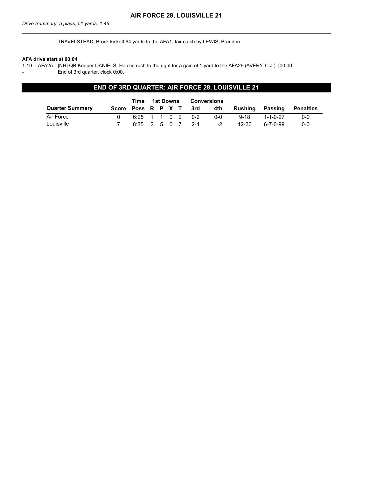TRAVELSTEAD, Brock kickoff 64 yards to the AFA1, fair catch by LEWIS, Brandon.

#### **AFA drive start at 00:04**

1-10 AFA25 [NH] QB Keeper DANIELS, Haaziq rush to the right for a gain of 1 yard to the AFA26 (AVERY, C.J.). [00:00] End of 3rd quarter, clock 0:00.

# **END OF 3RD QUARTER: AIR FORCE 28, LOUISVILLE 21**

|                        |                    | Time             | 1st Downs |  |  | Conversions |         |          |            |           |
|------------------------|--------------------|------------------|-----------|--|--|-------------|---------|----------|------------|-----------|
| <b>Quarter Summary</b> | Score Poss R P X T |                  |           |  |  | 3rd         | 4th     | Rushina  | Passing    | Penalties |
| Air Force              |                    | 6:25 1 1 0 2 0-2 |           |  |  |             | 0-0     | $9 - 18$ | 1-1-0-27   | $0 - 0$   |
| Louisville             |                    | 8:35 2 5 0 7 2-4 |           |  |  |             | $1 - 2$ | 12-30    | ٬ 6-7-0-99 | $0 - 0$   |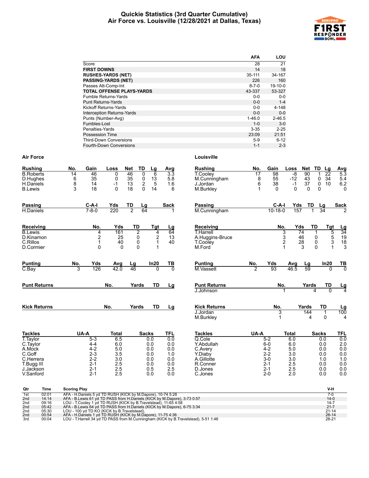#### **Quickie Statistics (3rd Quarter Cumulative) Air Force vs. Louisville (12/28/2021 at Dallas, Texas)**



|                                   | AFA         | LOU        |
|-----------------------------------|-------------|------------|
| Score                             | 28          | 21         |
| <b>FIRST DOWNS</b>                | 14          | 18         |
| <b>RUSHES-YARDS (NET)</b>         | 35-111      | 34-167     |
| <b>PASSING-YARDS (NET)</b>        | 226         | 160        |
| Passes Att-Comp-Int               | $8 - 7 - 0$ | $19-10-0$  |
| <b>TOTAL OFFENSE PLAYS-YARDS</b>  | 43-337      | 53-327     |
| <b>Fumble Returns-Yards</b>       | $0 - 0$     | $0 - 0$    |
| <b>Punt Returns-Yards</b>         | $0 - 0$     | $1 - 4$    |
| Kickoff Returns-Yards             | $0-0$       | 4-148      |
| <b>Interception Returns-Yards</b> | $0 - 0$     | $0 - 0$    |
| Punts (Number-Avg)                | $1 - 46.0$  | $2 - 46.5$ |
| Fumbles-Lost                      | $1 - 0$     | $3-0$      |
| Penalties-Yards                   | $3 - 35$    | $2 - 25$   |
| Possession Time                   | 23:09       | 21:51      |
| <b>Third-Down Conversions</b>     | $5-9$       | $6 - 12$   |
| Fourth-Down Conversions           | $1 - 1$     | $2 - 3$    |

| <b>Rushing</b>                                              | No.                                    | Gain                                                        | Loss                                 | <b>Net</b>           | TD                                   | Lg                              | Avg                                 | <b>Rushing</b>                                           | No.                                             | Gain                                        | Loss                              | Net TD                                  | Lg                                                                | <b>Avg</b>                                                            |
|-------------------------------------------------------------|----------------------------------------|-------------------------------------------------------------|--------------------------------------|----------------------|--------------------------------------|---------------------------------|-------------------------------------|----------------------------------------------------------|-------------------------------------------------|---------------------------------------------|-----------------------------------|-----------------------------------------|-------------------------------------------------------------------|-----------------------------------------------------------------------|
| <b>B.Roberts</b><br>D.Hughes<br>H.Daniels<br><b>B.Lewis</b> | $\overline{14}$<br>6<br>$\bar{8}$<br>3 | 46<br>35<br>14<br>18                                        | 0<br>$\mathbf 0$<br>$-1$<br>$\Omega$ | 46<br>35<br>13<br>18 | 0<br>0<br>$\overline{2}$<br>$\Omega$ | 6<br>13<br>$\overline{5}$<br>14 | $\overline{3.3}$<br>5.8<br>1.6<br>6 | <b>T.Cooley</b><br>M.Cunningham<br>J.Jordan<br>M.Burkley | 17<br>$\begin{matrix} 8 \\ 6 \end{matrix}$<br>1 | $\overline{98}$<br>55<br>38<br>$\mathbf{0}$ | $-8$<br>$-12$<br>$-1$<br>$\Omega$ | $\overline{90}$<br>43<br>37<br>$\Omega$ | $\overline{22}$<br>1<br>0<br>34<br>$\ddot{\mathbf{0}}$<br>10<br>0 | $5.\overline{3}$<br>$\frac{5.4}{6.2}$<br>0                            |
|                                                             |                                        |                                                             |                                      |                      |                                      |                                 |                                     |                                                          |                                                 |                                             |                                   |                                         |                                                                   |                                                                       |
| <b>Passing</b>                                              |                                        | $C-A-I$                                                     | Yds                                  | TD                   | <u>Lg</u>                            |                                 | <b>Sack</b>                         | Passing                                                  |                                                 | $C-A-I$                                     | Yds                               | TD                                      | Lg                                                                | <b>Sack</b>                                                           |
| H.Daniels                                                   |                                        | $7 - 8 - 0$                                                 | 220                                  | $\overline{2}$       | 64                                   |                                 |                                     | M.Cunningham                                             |                                                 | $10 - 18 - 0$                               | 157                               | 1                                       | $\overline{34}$                                                   |                                                                       |
| Receiving                                                   |                                        | No.                                                         | Yds                                  | TD                   |                                      | Tgt                             | <u>Lg</u>                           | Receiving                                                |                                                 |                                             | No.<br>Yds                        | TD                                      | Tgt                                                               |                                                                       |
| <b>B.Lewis</b>                                              |                                        | 4                                                           | 161                                  |                      | $\overline{2}$                       | 4                               | 64                                  | <b>T.Harrell</b>                                         |                                                 |                                             | 3                                 | 74                                      | 1                                                                 | $\frac{Lg}{34}$<br>$\frac{19}{18}$<br>$\frac{18}{3}$<br>$\frac{5}{3}$ |
| D.Kinamon                                                   |                                        | $\frac{2}{1}$                                               | 25                                   |                      | 0                                    | $\frac{2}{1}$                   | 13                                  | A.Huggins-Bruce                                          |                                                 |                                             | $\frac{3}{2}$                     | 46                                      | 0                                                                 |                                                                       |
| C.Rillos<br>D.Cormier                                       |                                        | $\mathbf{0}$                                                | 40<br>$\Omega$                       |                      | 0<br>$\mathbf{0}$                    | 1                               | 40                                  | <b>T.Cooley</b><br>M.Ford                                |                                                 |                                             | 1                                 | 28<br>3                                 | 0<br>$\Omega$                                                     | 1                                                                     |
|                                                             |                                        |                                                             |                                      |                      |                                      |                                 |                                     |                                                          |                                                 |                                             |                                   |                                         |                                                                   |                                                                       |
| <b>Punting</b>                                              | No.                                    | Yds                                                         | Avg                                  | Lg                   |                                      | In20                            | TB                                  | <b>Punting</b>                                           | No.                                             | Yds                                         | Avg                               | Lg                                      | In20                                                              | $rac{TB}{0}$                                                          |
| C.Bay                                                       | 3                                      | 126                                                         | 42.0                                 | 46                   |                                      | 0                               | $\overline{0}$                      | M.Vassett                                                | $\overline{2}$                                  | 93                                          | 46.5                              | $\overline{59}$                         | 0                                                                 |                                                                       |
| <b>Punt Returns</b>                                         |                                        |                                                             | No.                                  | Yards                |                                      | <b>TD</b>                       | Lg                                  | <b>Punt Returns</b>                                      |                                                 |                                             | No.                               | Yards                                   | <b>TD</b>                                                         | $\frac{Lg}{4}$                                                        |
|                                                             |                                        |                                                             |                                      |                      |                                      |                                 |                                     | J.Johnson                                                |                                                 |                                             |                                   |                                         | $\Omega$<br>4                                                     |                                                                       |
| <b>Kick Returns</b>                                         |                                        |                                                             | No.                                  | Yards                |                                      | <b>TD</b>                       | Lg                                  | <b>Kick Returns</b>                                      |                                                 | No.                                         |                                   | Yards                                   | <b>TD</b>                                                         |                                                                       |
|                                                             |                                        |                                                             |                                      |                      |                                      |                                 |                                     | J.Jordan                                                 |                                                 |                                             | 3                                 | 144                                     | $\mathbf{1}$                                                      | $\frac{Lg}{100}$                                                      |
|                                                             |                                        |                                                             |                                      |                      |                                      |                                 |                                     | M.Burkley                                                |                                                 |                                             | 1                                 | 4                                       | 0                                                                 | 4                                                                     |
| <b>Tackles</b>                                              |                                        | UA-A                                                        | <b>Total</b>                         |                      | <b>Sacks</b>                         |                                 | <b>TFL</b>                          | <b>Tackles</b>                                           | UA-A                                            |                                             | <b>Total</b>                      |                                         | <b>Sacks</b>                                                      | <b>TFL</b>                                                            |
| T. Taylor                                                   |                                        | $5-3$                                                       | 6.5                                  |                      | 0.0                                  |                                 | 0.0                                 | Q.Cole                                                   |                                                 | $5 - 2$                                     | 6.0                               |                                         | 0.0                                                               | 0.0                                                                   |
| C.Taylor<br>A.Mock                                          |                                        | $4 - 4$<br>$4 - 2$                                          | 6.0<br>5.0                           |                      | 0.0<br>0.0                           |                                 | 0.0<br>0.0                          | Y.Abdullah<br>C.Avery                                    |                                                 | $6-0$<br>$4 - 2$                            | 6.0<br>5.0                        |                                         | 0.0<br>0.0                                                        | $\begin{array}{c} 2.0 \\ 0.0 \end{array}$                             |
| C.Goff                                                      |                                        | $2 - 3$                                                     | 3.5                                  |                      | 0.0                                  |                                 | 1.0                                 | Y Diaby                                                  |                                                 | $2 - 2$                                     | 3.0                               |                                         | 0.0                                                               | 0.0                                                                   |
| C.Herrera                                                   |                                        | $2 - 2$                                                     | 3.0                                  |                      | 0.0                                  |                                 | 0.0                                 | A.Gillotte                                               |                                                 | $3-0$                                       | 3.0                               |                                         | 1.0                                                               | 1.0                                                                   |
| T.Bugg III                                                  |                                        | $2 - 1$                                                     | 2.5                                  |                      | 0.0                                  |                                 | 0.0                                 | R.Conner                                                 |                                                 | $2 - 1$                                     | 2.5                               |                                         | 0.0                                                               | 0.0                                                                   |
| J.Jackson                                                   |                                        | $2 - 1$                                                     | 2.5                                  |                      | 0.5                                  |                                 | 2.5                                 | D.Jones                                                  |                                                 | $2 - 1$                                     | 2.5                               |                                         | 0.0                                                               | 0.0 0.0 0.0                                                           |
| V.Sanford                                                   |                                        | $2 - 1$                                                     | 2.5                                  |                      | 0.0                                  |                                 | 0.0                                 | C.Jones                                                  |                                                 | $2 - 0$                                     | 2.0                               |                                         | 0.0                                                               |                                                                       |
| Qtr<br>Time                                                 | <b>Scoring Play</b>                    |                                                             |                                      |                      |                                      |                                 |                                     |                                                          |                                                 |                                             |                                   |                                         | V-H                                                               |                                                                       |
| 1st<br>02:01                                                |                                        | AFA - H.Daniels 5 yd TD RUSH (KICK by M.Dapore), 10-74 5:28 |                                      |                      |                                      |                                 |                                     |                                                          |                                                 |                                             |                                   |                                         | $7-0$                                                             |                                                                       |

|                 | -------- |                                                                                    |           |
|-----------------|----------|------------------------------------------------------------------------------------|-----------|
| 1st             | 02:01    | AFA - H.Daniels 5 vd TD RUSH (KICK by M.Dapore), 10-74 5:28                        |           |
| 2 <sub>nd</sub> | 14:14    | AFA - B. Lewis 61 yd TD PASS from H. Daniels (KICK by M. Dapore), 3-73 0:57        | $14-0$    |
| 2 <sub>nd</sub> | 09:16    | LOU - T. Cooley 1 yd TD RUSH (KICK by B. Travelstead), 11-65 4:58                  | $14 - 7$  |
| 2 <sub>nd</sub> | 05:42    | AFA - B.Lewis 64 yd TD PASS from H.Daniels (KICK by M.Dapore), 6-75 3:34           | $21 - 7$  |
| 2 <sub>nd</sub> | 05:30    | LOU - 100 vd TD KO (KICK by B. Travelstead).                                       | $21 - 14$ |
| 2 <sub>nd</sub> | 00:54    | AFA - H.Daniels 1 yd TD RUSH (KICK by M.Dapore), 11-75 4:36                        | $28 - 14$ |
| 3rd             | 00:04    | LOU - T.Harrell 34 yd TD PASS from M.Cunningham (KICK by B.Travelstead), 5-51 1:46 | 28-21     |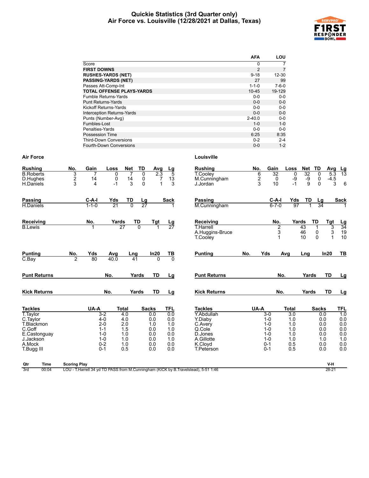#### **Quickie Statistics (3rd Quarter only) Air Force vs. Louisville (12/28/2021 at Dallas, Texas)**



|                                  | <b>AFA</b>  | LOU         |
|----------------------------------|-------------|-------------|
| Score                            | 0           |             |
| <b>FIRST DOWNS</b>               | 2           | 7           |
| <b>RUSHES-YARDS (NET)</b>        | $9 - 18$    | $12 - 30$   |
| <b>PASSING-YARDS (NET)</b>       | 27          | 99          |
| Passes Att-Comp-Int              | $1 - 1 - 0$ | $7 - 6 - 0$ |
| <b>TOTAL OFFENSE PLAYS-YARDS</b> | $10 - 45$   | 19-129      |
| <b>Fumble Returns-Yards</b>      | $0 - 0$     | $0 - 0$     |
| <b>Punt Returns-Yards</b>        | $0 - 0$     | $0 - 0$     |
| Kickoff Returns-Yards            | $0 - 0$     | $0 - 0$     |
| Interception Returns-Yards       | $0 - 0$     | $0 - 0$     |
| Punts (Number-Avg)               | $2 - 40.0$  | $0 - 0$     |
| Fumbles-Lost                     | $1 - 0$     | $1 - 0$     |
| Penalties-Yards                  | $0 - 0$     | $0 - 0$     |
| Possession Time                  | 6:25        | 8:35        |
| <b>Third-Down Conversions</b>    | $0 - 2$     | $2 - 4$     |
| Fourth-Down Conversions          | $0 - 0$     | $1 - 2$     |

| $\begin{array}{c} 6 \\ 2 \\ 3 \end{array}$<br>$\frac{2}{3}$<br>14<br>0<br>13<br>M.Cunningham<br>-9<br>-9<br>D.Hughes<br>14<br>0<br>7<br>0<br>3<br>$\Omega$<br>10<br>$-1$<br>9<br>$-1$<br>3<br>H.Daniels<br>4<br>J.Jordan<br>Yds<br>TD<br>TD<br><b>Passing</b><br>$C-A-I$<br><b>Sack</b><br>$C-A-I$<br>Yds<br>$\frac{Lg}{27}$<br>Passing<br>$1 - 1 - 0$<br>$\overline{21}$<br>$\overline{0}$<br>$6 - 7 - 0$<br>97<br>M.Cunningham<br>H.Daniels<br>TD<br><b>TD</b><br>No.<br>Yards<br>Receiving<br>Yards<br>Tgt<br>Receiving<br>No.<br>$\frac{\mathsf{Lg}}{27}$<br>$\overline{27}$<br><b>B.Lewis</b><br>$\Omega$<br><b>T.Harrell</b><br>$\overline{2}$<br>43<br>3<br>46<br>A.Huggins-Bruce<br>10<br>1<br><b>T.Cooley</b><br><b>Punting</b><br>In20<br>$rac{TB}{0}$<br><b>Punting</b><br>Yds<br>No.<br>Yds<br>No.<br>Avg<br>Avg<br>Lng<br>Lng<br>$\overline{2}$<br>80<br>40.0<br>$C$ . Bay<br>41<br>$\Omega$<br>No.<br><b>TD</b><br><b>Punt Returns</b><br>No.<br><b>Punt Returns</b><br>Yards<br>Yards<br>Lg<br>No.<br><b>TD</b><br><b>Kick Returns</b><br>Yards<br><b>Kick Returns</b><br>No.<br>Yards<br>Lg<br><b>Tackles</b><br>UA-A<br><b>Total</b><br><b>Sacks</b><br><b>TFL</b><br><b>Tackles</b><br>UA-A<br><b>Total</b><br>T. Taylor<br>$3 - 2$<br>Y.Abdullah<br>4.0<br>0.0<br>0.0<br>$3-0$<br>$\overline{3.0}$<br>Y.Diaby<br>$4 - 0$<br>4.0<br>0.0<br>1.0<br>C.Taylor<br>0.0<br>$1 - 0$<br>2.0<br>T.Blackmon<br>$2 - 0$<br>1.0<br>1.0<br>$1 - 0$<br>1.0<br>C.Avery<br>C.Goff<br>1.5<br>0.0<br>1.0<br>$1 - 0$<br>1.0<br>$1 - 1$<br>Q.Cole<br>$1 - 0$<br>1.0<br>0.0<br>0.0<br>1.0<br>E.Castonguay<br>D.Jones<br>$1 - 0$ | 0<br>$-4.5$<br>6<br>$\Omega$<br>3<br><b>Sack</b><br>Lg<br>34<br>Tgt<br>$\frac{Lg}{34}$<br>3<br>19<br>3                    |
|------------------------------------------------------------------------------------------------------------------------------------------------------------------------------------------------------------------------------------------------------------------------------------------------------------------------------------------------------------------------------------------------------------------------------------------------------------------------------------------------------------------------------------------------------------------------------------------------------------------------------------------------------------------------------------------------------------------------------------------------------------------------------------------------------------------------------------------------------------------------------------------------------------------------------------------------------------------------------------------------------------------------------------------------------------------------------------------------------------------------------------------------------------------------------------------------------------------------------------------------------------------------------------------------------------------------------------------------------------------------------------------------------------------------------------------------------------------------------------------------------------------------------------------------------------------------------------------------------------------------------|---------------------------------------------------------------------------------------------------------------------------|
|                                                                                                                                                                                                                                                                                                                                                                                                                                                                                                                                                                                                                                                                                                                                                                                                                                                                                                                                                                                                                                                                                                                                                                                                                                                                                                                                                                                                                                                                                                                                                                                                                              |                                                                                                                           |
|                                                                                                                                                                                                                                                                                                                                                                                                                                                                                                                                                                                                                                                                                                                                                                                                                                                                                                                                                                                                                                                                                                                                                                                                                                                                                                                                                                                                                                                                                                                                                                                                                              |                                                                                                                           |
|                                                                                                                                                                                                                                                                                                                                                                                                                                                                                                                                                                                                                                                                                                                                                                                                                                                                                                                                                                                                                                                                                                                                                                                                                                                                                                                                                                                                                                                                                                                                                                                                                              |                                                                                                                           |
|                                                                                                                                                                                                                                                                                                                                                                                                                                                                                                                                                                                                                                                                                                                                                                                                                                                                                                                                                                                                                                                                                                                                                                                                                                                                                                                                                                                                                                                                                                                                                                                                                              | $\begin{matrix} 0 \\ 0 \end{matrix}$<br>$\mathbf 1$<br>10                                                                 |
|                                                                                                                                                                                                                                                                                                                                                                                                                                                                                                                                                                                                                                                                                                                                                                                                                                                                                                                                                                                                                                                                                                                                                                                                                                                                                                                                                                                                                                                                                                                                                                                                                              | In20<br>TB                                                                                                                |
|                                                                                                                                                                                                                                                                                                                                                                                                                                                                                                                                                                                                                                                                                                                                                                                                                                                                                                                                                                                                                                                                                                                                                                                                                                                                                                                                                                                                                                                                                                                                                                                                                              | <b>TD</b><br>Lg                                                                                                           |
|                                                                                                                                                                                                                                                                                                                                                                                                                                                                                                                                                                                                                                                                                                                                                                                                                                                                                                                                                                                                                                                                                                                                                                                                                                                                                                                                                                                                                                                                                                                                                                                                                              | <b>TD</b><br>Lg                                                                                                           |
|                                                                                                                                                                                                                                                                                                                                                                                                                                                                                                                                                                                                                                                                                                                                                                                                                                                                                                                                                                                                                                                                                                                                                                                                                                                                                                                                                                                                                                                                                                                                                                                                                              | <b>TFL</b><br><b>Sacks</b>                                                                                                |
| A.Gillotte<br>J.Jackson<br>$1 - 0$<br>1.0<br>0.0<br>1.0<br>$1 - 0$<br>1.0<br>A.Mock<br>$0 - 2$<br>1.0<br>0.0<br>0.0<br>0.5<br>K.Cloyd<br>$0 - 1$<br>0.5<br>0.0<br>0.5<br>$0 - 1$<br>0.0<br>$0 - 1$<br>T.Peterson<br>T.Bugg III                                                                                                                                                                                                                                                                                                                                                                                                                                                                                                                                                                                                                                                                                                                                                                                                                                                                                                                                                                                                                                                                                                                                                                                                                                                                                                                                                                                               |                                                                                                                           |
| Qtr<br><b>Time</b><br><b>Scoring Play</b><br>3rd<br>LOU - T.Harrell 34 yd TD PASS from M.Cunningham (KICK by B.Travelstead), 5-51 1:46<br>00:04                                                                                                                                                                                                                                                                                                                                                                                                                                                                                                                                                                                                                                                                                                                                                                                                                                                                                                                                                                                                                                                                                                                                                                                                                                                                                                                                                                                                                                                                              | $\overline{1.0}$<br>0.0<br>0.0<br>0.0<br>0.0<br>0.0<br>0.0<br>0.0<br>0.0<br>0.0<br>1.0<br>1.0<br>0.0<br>0.0<br>0.0<br>0.0 |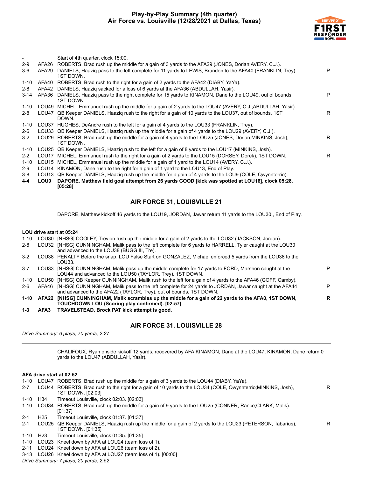

R

| -        |             | Start of 4th quarter, clock 15:00.                                                                                     |   |
|----------|-------------|------------------------------------------------------------------------------------------------------------------------|---|
| $2-9$    | AFA26       | ROBERTS, Brad rush up the middle for a gain of 3 yards to the AFA29 (JONES, Dorian; AVERY, C.J.).                      |   |
| $3-6$    | AFA29       | DANIELS, Haazig pass to the left complete for 11 yards to LEWIS, Brandon to the AFA40 (FRANKLIN, Trey),<br>1ST DOWN.   | P |
| $1 - 10$ | AFA40       | ROBERTS, Brad rush to the right for a gain of 2 yards to the AFA42 (DIABY, YaYa).                                      |   |
| $2 - 8$  | AFA42       | DANIELS, Haazig sacked for a loss of 6 yards at the AFA36 (ABDULLAH, Yasir).                                           |   |
| 3-14     | AFA36       | DANIELS, Haaziq pass to the right complete for 15 yards to KINAMON, Dane to the LOU49, out of bounds,<br>1ST DOWN.     | P |
| 1-10     |             | LOU49 MICHEL, Emmanuel rush up the middle for a gain of 2 yards to the LOU47 (AVERY, C.J.;ABDULLAH, Yasir).            |   |
| 2-8      | LOU47       | QB Keeper DANIELS, Haazig rush to the right for a gain of 10 yards to the LOU37, out of bounds, 1ST<br>DOWN.           | R |
| $1 - 10$ |             | LOU37 HUGHES, DeAndre rush to the left for a gain of 4 yards to the LOU33 (FRANKLIN, Trey).                            |   |
| $2-6$    |             | LOU33 QB Keeper DANIELS, Haazig rush up the middle for a gain of 4 yards to the LOU29 (AVERY, C.J.).                   |   |
| $3 - 2$  |             | LOU29 ROBERTS, Brad rush up the middle for a gain of 4 yards to the LOU25 (JONES, Dorian; MINKINS, Josh),<br>1ST DOWN. | R |
| 1-10     |             | LOU25 QB Keeper DANIELS, Haazig rush to the left for a gain of 8 yards to the LOU17 (MINKINS, Josh).                   |   |
| $2 - 2$  | LOU17       | MICHEL, Emmanuel rush to the right for a gain of 2 yards to the LOU15 (DORSEY, Derek), 1ST DOWN.                       | R |
| $1 - 10$ | LOU15       | MICHEL, Emmanuel rush up the middle for a gain of 1 yard to the LOU14 (AVERY, C.J.).                                   |   |
| $2-9$    |             | LOU14 KINAMON, Dane rush to the right for a gain of 1 yard to the LOU13, End of Play.                                  |   |
| $3-8$    |             | LOU13 QB Keeper DANIELS, Haazig rush up the middle for a gain of 4 yards to the LOU9 (COLE, Qwynnterrio).              |   |
| 4-4      | <b>LOU9</b> | DAPORE, Matthew field goal attempt from 26 yards GOOD [kick was spotted at LOU16], clock 05:28.<br>[05:28]             |   |
|          |             |                                                                                                                        |   |

# **AIR FORCE 31, LOUISVILLE 21**

DAPORE, Matthew kickoff 46 yards to the LOU19, JORDAN, Jawar return 11 yards to the LOU30 , End of Play.

#### **LOU drive start at 05:24**

|  |  | 1-10 LOU30 [NHSG] COOLEY, Trevion rush up the middle for a gain of 2 yards to the LOU32 (JACKSON, Jordan). |
|--|--|------------------------------------------------------------------------------------------------------------|
|  |  |                                                                                                            |

- 2-8 LOU32 [NHSG] CUNNINGHAM, Malik pass to the left complete for 6 yards to HARRELL, Tyler caught at the LOU30 and advanced to the LOU38 (BUGG III, Tre). 3-2 LOU38 PENALTY Before the snap, LOU False Start on GONZALEZ, Michael enforced 5 yards from the LOU38 to the LOU33.
- 3-7 LOU33 [NHSG] CUNNINGHAM, Malik pass up the middle complete for 17 yards to FORD, Marshon caught at the LOU44 and advanced to the LOU50 (TAYLOR, Trey), 1ST DOWN. P 1-10 LOU50 [NHSG] QB Keeper CUNNINGHAM, Malik rush to the left for a gain of 4 yards to the AFA46 (GOFF, Camby). 2-6 AFA46 [NHSG] CUNNINGHAM, Malik pass to the left complete for 24 yards to JORDAN, Jawar caught at the AFA44 and advanced to the AFA22 (TAYLOR, Trey), out of bounds, 1ST DOWN. P **1-10 AFA22 [NHSG] CUNNINGHAM, Malik scrambles up the middle for a gain of 22 yards to the AFA0, 1ST DOWN, TOUCHDOWN LOU (Scoring play confirmed). [02:57] R**
- **1-3 AFA3 TRAVELSTEAD, Brock PAT kick attempt is good.**

#### **AIR FORCE 31, LOUISVILLE 28**

*Drive Summary: 6 plays, 70 yards, 2:27*

CHALIFOUX, Ryan onside kickoff 12 yards, recovered by AFA KINAMON, Dane at the LOU47, KINAMON, Dane return 0 yards to the LOU47 (ABDULLAH, Yasir).

#### **AFA drive start at 02:52**

- 1-10 LOU47 ROBERTS, Brad rush up the middle for a gain of 3 yards to the LOU44 (DIABY, YaYa).
- 2-7 LOU44 ROBERTS, Brad rush to the right for a gain of 10 yards to the LOU34 (COLE, Qwynnterrio;MINKINS, Josh), 1ST DOWN. [02:03] R 1-10 H34 Timeout Louisville, clock 02:03. [02:03]
- 1-10 LOU34 ROBERTS, Brad rush up the middle for a gain of 9 yards to the LOU25 (CONNER, Rance;CLARK, Malik). [01:37]
- 2-1 H25 Timeout Louisville, clock 01:37. [01:37]
- 2-1 LOU25 QB Keeper DANIELS, Haaziq rush up the middle for a gain of 2 yards to the LOU23 (PETERSON, Tabarius), 1ST DOWN. [01:35]
- 1-10 H23 Timeout Louisville, clock 01:35. [01:35]
- 1-10 LOU23 Kneel down by AFA at LOU24 (team loss of 1).
- 2-11 LOU24 Kneel down by AFA at LOU26 (team loss of 2).
- 3-13 LOU26 Kneel down by AFA at LOU27 (team loss of 1). [00:00]

*Drive Summary: 7 plays, 20 yards, 2:52*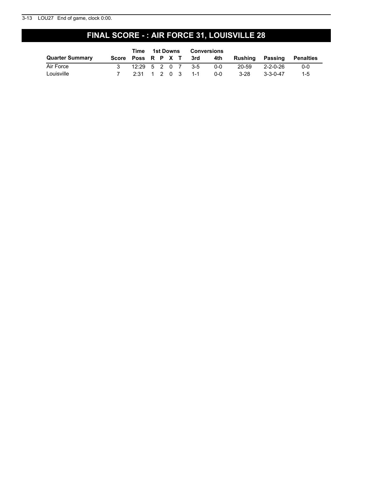#### 3-13 LOU27 End of game, clock 0:00.

# **FINAL SCORE - : AIR FORCE 31, LOUISVILLE 28**

|                        | Time              | 1st Downs Conversions |  |                            |     |         |          |                          |
|------------------------|-------------------|-----------------------|--|----------------------------|-----|---------|----------|--------------------------|
| <b>Quarter Summary</b> |                   |                       |  | Score Poss R P X T 3rd 4th |     | Rushina |          | <b>Passing Penalties</b> |
| Air Force              | 12:29 5 2 0 7 3-5 |                       |  |                            | ი-ი | 20-59   | 2-2-0-26 | 0-0                      |
| Louisville             |                   |                       |  | 2:31 1 2 0 3 1-1           | റ-റ | 3-28    | 3-3-0-47 | $1 - 5$                  |